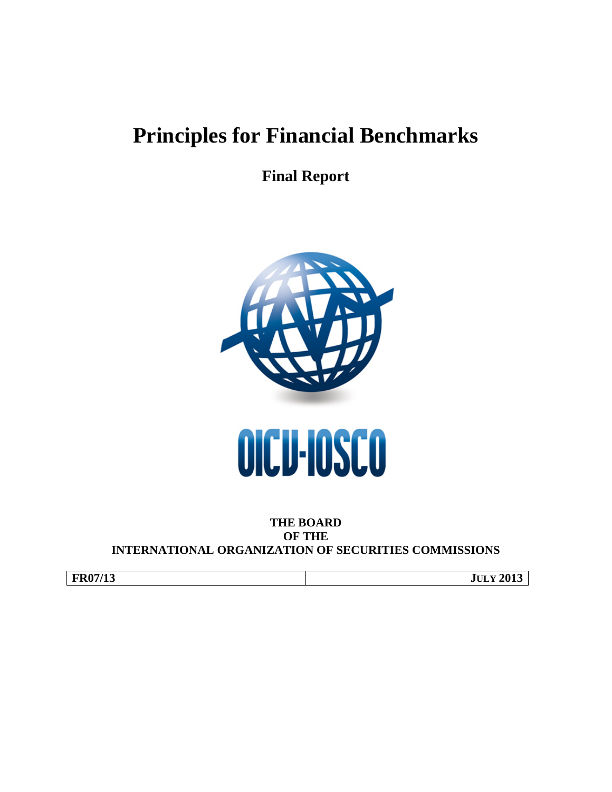# **Principles for Financial Benchmarks**

**Final Report**



**THE BOARD OF THE INTERNATIONAL ORGANIZATION OF SECURITIES COMMISSIONS**

**FR07/13 JULY 2013**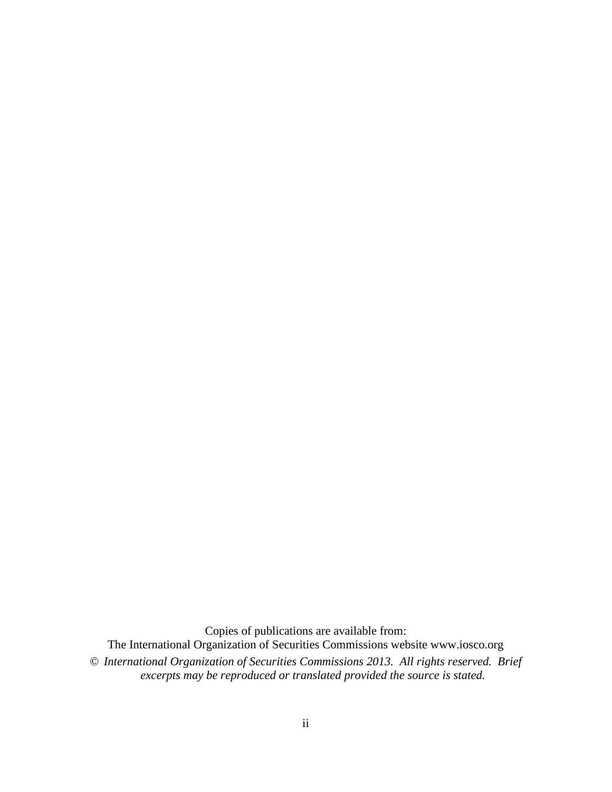Copies of publications are available from:

The International Organization of Securities Commissions website www.iosco.org © *International Organization of Securities Commissions 2013. All rights reserved. Brief excerpts may be reproduced or translated provided the source is stated.*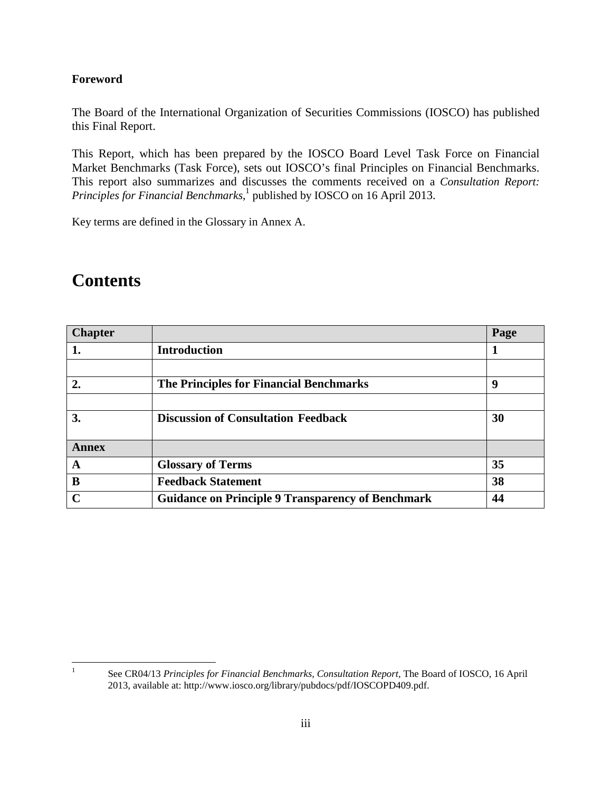## **Foreword**

The Board of the International Organization of Securities Commissions (IOSCO) has published this Final Report.

This Report, which has been prepared by the IOSCO Board Level Task Force on Financial Market Benchmarks (Task Force), sets out IOSCO's final Principles on Financial Benchmarks. This report also summarizes and discusses the comments received on a *Consultation Report: Principles for Financial Benchmarks*, 1 published by IOSCO on 16 April 2013.

Key terms are defined in the Glossary in Annex A.

## **Contents**

| <b>Chapter</b>   |                                                          | Page |
|------------------|----------------------------------------------------------|------|
| 1.               | <b>Introduction</b>                                      |      |
|                  |                                                          |      |
| $\overline{2}$ . | The Principles for Financial Benchmarks                  | 9    |
|                  |                                                          |      |
| 3.               | <b>Discussion of Consultation Feedback</b>               | 30   |
|                  |                                                          |      |
| Annex            |                                                          |      |
| A                | <b>Glossary of Terms</b>                                 | 35   |
| B                | <b>Feedback Statement</b>                                | 38   |
| $\mathbf C$      | <b>Guidance on Principle 9 Transparency of Benchmark</b> | 44   |

 <sup>1</sup> See CR04/13 *Principles for Financial Benchmarks, Consultation Report,* The Board of IOSCO, 16 April 2013, available at: http://www.iosco.org/library/pubdocs/pdf/IOSCOPD409.pdf.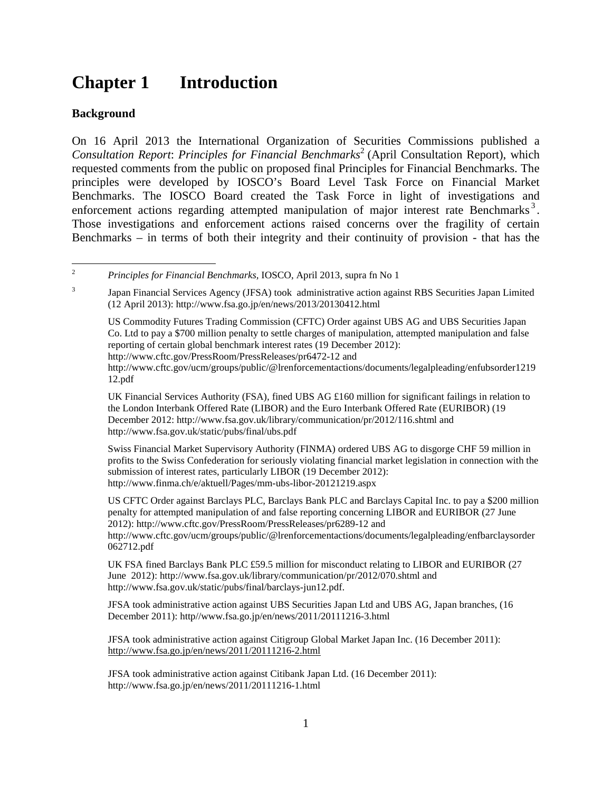## **Chapter 1 Introduction**

#### **Background**

On 16 April 2013 the International Organization of Securities Commissions published a *Consultation Report*: *Principles for Financial Benchmarks* <sup>2</sup> (April Consultation Report), which requested comments from the public on proposed final Principles for Financial Benchmarks. The principles were developed by IOSCO's Board Level Task Force on Financial Market Benchmarks. The IOSCO Board created the Task Force in light of investigations and enforcement actions regarding attempted manipulation of major interest rate Benchmarks<sup>3</sup>. Those investigations and enforcement actions raised concerns over the fragility of certain Benchmarks – in terms of both their integrity and their continuity of provision - that has the

 <sup>2</sup> *Principles for Financial Benchmarks,* IOSCO, April 2013, supra fn No 1

<sup>&</sup>lt;sup>3</sup> Japan Financial Services Agency (JFSA) took administrative action against RBS Securities Japan Limited (12 April 2013): http://www.fsa.go.jp/en/news/2013/20130412.html

US Commodity Futures Trading Commission (CFTC) Order against UBS AG and UBS Securities Japan Co. Ltd to pay a \$700 million penalty to settle charges of manipulation, attempted manipulation and false reporting of certain global benchmark interest rates (19 December 2012): http://www.cftc.gov/PressRoom/PressReleases/pr6472-12 and

http://www.cftc.gov/ucm/groups/public/@lrenforcementactions/documents/legalpleading/enfubsorder1219 12.pdf

UK Financial Services Authority (FSA), fined UBS AG £160 million for significant failings in relation to the London Interbank Offered Rate (LIBOR) and the Euro Interbank Offered Rate (EURIBOR) (19 December 2012: http://www.fsa.gov.uk/library/communication/pr/2012/116.shtml and http://www.fsa.gov.uk/static/pubs/final/ubs.pdf

Swiss Financial Market Supervisory Authority (FINMA) ordered UBS AG to disgorge CHF 59 million in profits to the Swiss Confederation for seriously violating financial market legislation in connection with the submission of interest rates, particularly LIBOR (19 December 2012): http://www.finma.ch/e/aktuell/Pages/mm-ubs-libor-20121219.aspx

US CFTC Order against Barclays PLC, Barclays Bank PLC and Barclays Capital Inc. to pay a \$200 million penalty for attempted manipulation of and false reporting concerning LIBOR and EURIBOR (27 June 2012): http://www.cftc.gov/PressRoom/PressReleases/pr6289-12 and http://www.cftc.gov/ucm/groups/public/@lrenforcementactions/documents/legalpleading/enfbarclaysorder 062712.pdf

UK FSA fined Barclays Bank PLC £59.5 million for misconduct relating to LIBOR and EURIBOR (27 June 2012): http://www.fsa.gov.uk/library/communication/pr/2012/070.shtml and http://www.fsa.gov.uk/static/pubs/final/barclays-jun12.pdf.

JFSA took administrative action against UBS Securities Japan Ltd and UBS AG, Japan branches, (16 December 2011): http//www.fsa.go.jp/en/news/2011/20111216-3.html

JFSA took administrative action against Citigroup Global Market Japan Inc. (16 December 2011): http://www.fsa.go.jp/en/news/2011/20111216-2.html

JFSA took administrative action against Citibank Japan Ltd. (16 December 2011): http://www.fsa.go.jp/en/news/2011/20111216-1.html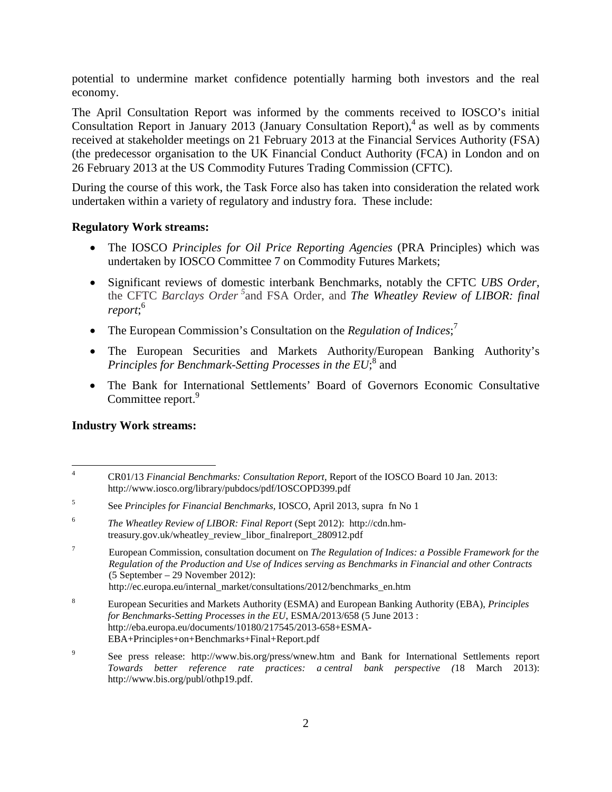potential to undermine market confidence potentially harming both investors and the real economy.

The April Consultation Report was informed by the comments received to IOSCO's initial Consultation Report in January 2013 (January Consultation Report), <sup>4</sup> as well as by comments received at stakeholder meetings on 21 February 2013 at the Financial Services Authority (FSA) (the predecessor organisation to the UK Financial Conduct Authority (FCA) in London and on 26 February 2013 at the US Commodity Futures Trading Commission (CFTC).

During the course of this work, the Task Force also has taken into consideration the related work undertaken within a variety of regulatory and industry fora. These include:

#### **Regulatory Work streams:**

- The IOSCO *Principles for Oil Price Reporting Agencies* (PRA Principles) which was undertaken by IOSCO Committee 7 on Commodity Futures Markets;
- Significant reviews of domestic interbank Benchmarks, notably the CFTC *UBS Order*, the CFTC *Barclays Order <sup>5</sup>* and FSA Order, and *The Wheatley Review of LIBOR: final report*; 6
- The European Commission's Consultation on the *Regulation of Indices*;<sup>7</sup>
- The European Securities and Markets Authority/European Banking Authority's *Principles for Benchmark-Setting Processes in the EU*; <sup>8</sup> and
- The Bank for International Settlements' Board of Governors Economic Consultative Committee report.<sup>9</sup>

#### **Industry Work streams:**

 <sup>4</sup> CR01/13 *Financial Benchmarks: Consultation Report*, Report of the IOSCO Board 10 Jan. 2013: http://www.iosco.org/library/pubdocs/pdf/IOSCOPD399.pdf

<sup>5</sup> See *Principles for Financial Benchmarks,* IOSCO, April 2013, supra fn No 1

<sup>6</sup> *The Wheatley Review of LIBOR: Final Report* (Sept 2012): http://cdn.hmtreasury.gov.uk/wheatley\_review\_libor\_finalreport\_280912.pdf

<sup>7</sup> European Commission, consultation document on *The Regulation of Indices: a Possible Framework for the Regulation of the Production and Use of Indices serving as Benchmarks in Financial and other Contracts* (5 September – 29 November 2012): http://ec.europa.eu/internal\_market/consultations/2012/benchmarks\_en.htm

<sup>8</sup> European Securities and Markets Authority (ESMA) and European Banking Authority (EBA), *Principles for Benchmarks-Setting Processes in the EU*, ESMA/2013/658 (5 June 2013 : http://eba.europa.eu/documents/10180/217545/2013-658+ESMA-EBA+Principles+on+Benchmarks+Final+Report.pdf

<sup>&</sup>lt;sup>9</sup> See press release: http://www.bis.org/press/wnew.htm and Bank for International Settlements report *Towards better reference rate practices: a central bank perspective (*18 March 2013): http://www.bis.org/publ/othp19.pdf.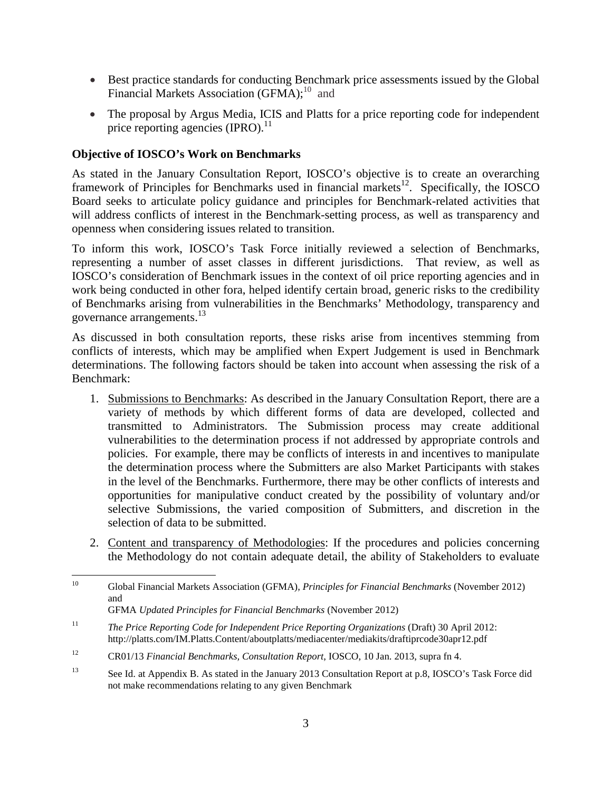- Best practice standards for conducting Benchmark price assessments issued by the Global Financial Markets Association (GFMA);<sup>10</sup> and
- The proposal by Argus Media, ICIS and Platts for a price reporting code for independent price reporting agencies (IPRO).<sup>11</sup>

## **Objective of IOSCO's Work on Benchmarks**

As stated in the January Consultation Report, IOSCO's objective is to create an overarching framework of Principles for Benchmarks used in financial markets<sup>12</sup>. Specifically, the IOSCO Board seeks to articulate policy guidance and principles for Benchmark-related activities that will address conflicts of interest in the Benchmark-setting process, as well as transparency and openness when considering issues related to transition.

To inform this work, IOSCO's Task Force initially reviewed a selection of Benchmarks, representing a number of asset classes in different jurisdictions. That review, as well as IOSCO's consideration of Benchmark issues in the context of oil price reporting agencies and in work being conducted in other fora, helped identify certain broad, generic risks to the credibility of Benchmarks arising from vulnerabilities in the Benchmarks' Methodology, transparency and governance arrangements.13

As discussed in both consultation reports, these risks arise from incentives stemming from conflicts of interests, which may be amplified when Expert Judgement is used in Benchmark determinations. The following factors should be taken into account when assessing the risk of a Benchmark:

- 1. Submissions to Benchmarks: As described in the January Consultation Report, there are a variety of methods by which different forms of data are developed, collected and transmitted to Administrators. The Submission process may create additional vulnerabilities to the determination process if not addressed by appropriate controls and policies. For example, there may be conflicts of interests in and incentives to manipulate the determination process where the Submitters are also Market Participants with stakes in the level of the Benchmarks. Furthermore, there may be other conflicts of interests and opportunities for manipulative conduct created by the possibility of voluntary and/or selective Submissions, the varied composition of Submitters, and discretion in the selection of data to be submitted.
- 2. Content and transparency of Methodologies: If the procedures and policies concerning the Methodology do not contain adequate detail, the ability of Stakeholders to evaluate

 <sup>10</sup> Global Financial Markets Association (GFMA), *Principles for Financial Benchmarks* (November 2012) and

GFMA *Updated Principles for Financial Benchmarks* (November 2012)

<sup>11</sup> *The Price Reporting Code for Independent Price Reporting Organizations* (Draft) 30 April 2012: http://platts.com/IM.Platts.Content/aboutplatts/mediacenter/mediakits/draftiprcode30apr12.pdf

<sup>12</sup> CR01/13 *Financial Benchmarks, Consultation Report*, IOSCO, 10 Jan. 2013, supra fn 4.

<sup>&</sup>lt;sup>13</sup> See Id. at Appendix B. As stated in the January 2013 Consultation Report at p.8, IOSCO's Task Force did not make recommendations relating to any given Benchmark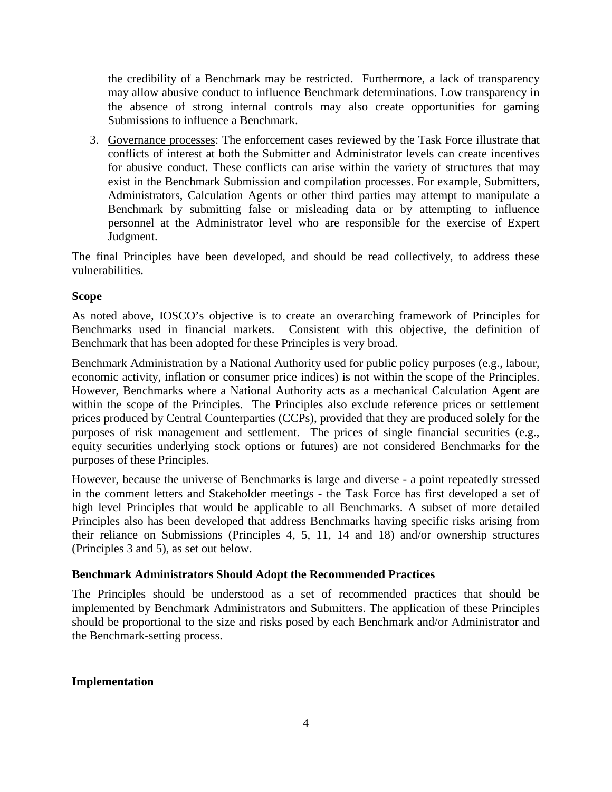the credibility of a Benchmark may be restricted. Furthermore, a lack of transparency may allow abusive conduct to influence Benchmark determinations. Low transparency in the absence of strong internal controls may also create opportunities for gaming Submissions to influence a Benchmark.

3. Governance processes: The enforcement cases reviewed by the Task Force illustrate that conflicts of interest at both the Submitter and Administrator levels can create incentives for abusive conduct. These conflicts can arise within the variety of structures that may exist in the Benchmark Submission and compilation processes. For example, Submitters, Administrators, Calculation Agents or other third parties may attempt to manipulate a Benchmark by submitting false or misleading data or by attempting to influence personnel at the Administrator level who are responsible for the exercise of Expert Judgment.

The final Principles have been developed, and should be read collectively, to address these vulnerabilities.

#### **Scope**

As noted above, IOSCO's objective is to create an overarching framework of Principles for Benchmarks used in financial markets. Consistent with this objective, the definition of Benchmark that has been adopted for these Principles is very broad.

Benchmark Administration by a National Authority used for public policy purposes (e.g., labour, economic activity, inflation or consumer price indices) is not within the scope of the Principles. However, Benchmarks where a National Authority acts as a mechanical Calculation Agent are within the scope of the Principles. The Principles also exclude reference prices or settlement prices produced by Central Counterparties (CCPs), provided that they are produced solely for the purposes of risk management and settlement. The prices of single financial securities (e.g., equity securities underlying stock options or futures) are not considered Benchmarks for the purposes of these Principles.

However, because the universe of Benchmarks is large and diverse - a point repeatedly stressed in the comment letters and Stakeholder meetings - the Task Force has first developed a set of high level Principles that would be applicable to all Benchmarks. A subset of more detailed Principles also has been developed that address Benchmarks having specific risks arising from their reliance on Submissions (Principles 4, 5, 11, 14 and 18) and/or ownership structures (Principles 3 and 5), as set out below.

#### **Benchmark Administrators Should Adopt the Recommended Practices**

The Principles should be understood as a set of recommended practices that should be implemented by Benchmark Administrators and Submitters. The application of these Principles should be proportional to the size and risks posed by each Benchmark and/or Administrator and the Benchmark-setting process.

#### **Implementation**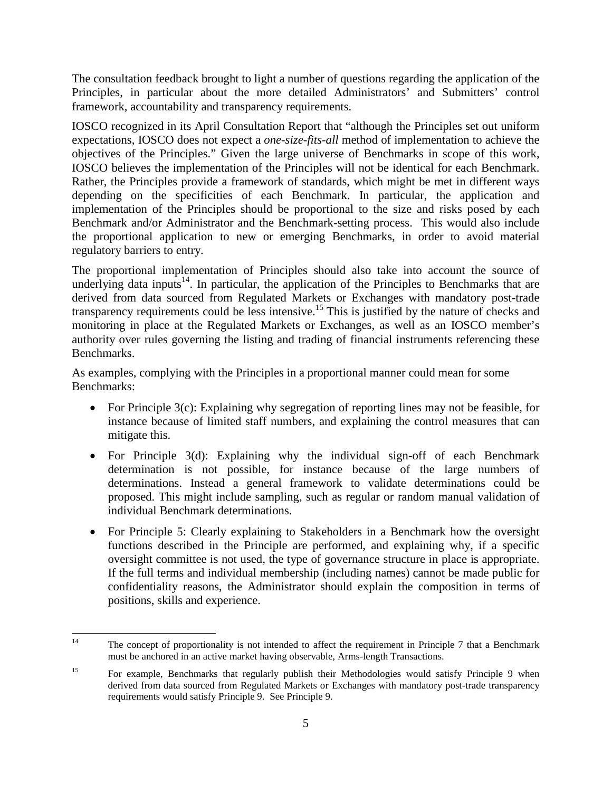The consultation feedback brought to light a number of questions regarding the application of the Principles, in particular about the more detailed Administrators' and Submitters' control framework, accountability and transparency requirements.

IOSCO recognized in its April Consultation Report that "although the Principles set out uniform expectations, IOSCO does not expect a *one-size-fits-all* method of implementation to achieve the objectives of the Principles." Given the large universe of Benchmarks in scope of this work, IOSCO believes the implementation of the Principles will not be identical for each Benchmark. Rather, the Principles provide a framework of standards, which might be met in different ways depending on the specificities of each Benchmark. In particular, the application and implementation of the Principles should be proportional to the size and risks posed by each Benchmark and/or Administrator and the Benchmark-setting process. This would also include the proportional application to new or emerging Benchmarks, in order to avoid material regulatory barriers to entry.

The proportional implementation of Principles should also take into account the source of underlying data inputs<sup>14</sup>. In particular, the application of the Principles to Benchmarks that are derived from data sourced from Regulated Markets or Exchanges with mandatory post-trade transparency requirements could be less intensive.<sup>15</sup> This is justified by the nature of checks and monitoring in place at the Regulated Markets or Exchanges, as well as an IOSCO member's authority over rules governing the listing and trading of financial instruments referencing these Benchmarks.

As examples, complying with the Principles in a proportional manner could mean for some Benchmarks:

- For Principle 3(c): Explaining why segregation of reporting lines may not be feasible, for instance because of limited staff numbers, and explaining the control measures that can mitigate this.
- For Principle 3(d): Explaining why the individual sign-off of each Benchmark determination is not possible, for instance because of the large numbers of determinations. Instead a general framework to validate determinations could be proposed. This might include sampling, such as regular or random manual validation of individual Benchmark determinations.
- For Principle 5: Clearly explaining to Stakeholders in a Benchmark how the oversight functions described in the Principle are performed, and explaining why, if a specific oversight committee is not used, the type of governance structure in place is appropriate. If the full terms and individual membership (including names) cannot be made public for confidentiality reasons, the Administrator should explain the composition in terms of positions, skills and experience.

<sup>&</sup>lt;sup>14</sup> The concept of proportionality is not intended to affect the requirement in Principle 7 that a Benchmark must be anchored in an active market having observable, Arms-length Transactions.

<sup>&</sup>lt;sup>15</sup> For example, Benchmarks that regularly publish their Methodologies would satisfy Principle 9 when derived from data sourced from Regulated Markets or Exchanges with mandatory post-trade transparency requirements would satisfy Principle 9. See Principle 9.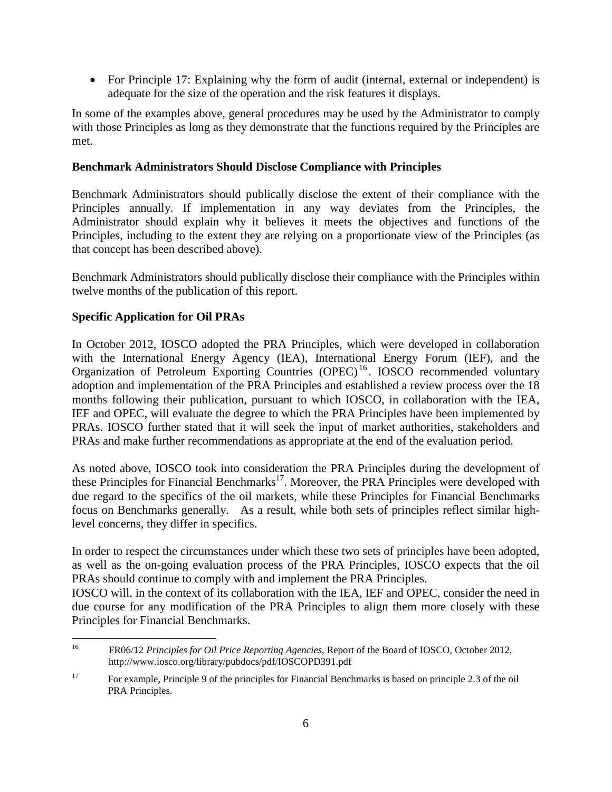• For Principle 17: Explaining why the form of audit (internal, external or independent) is adequate for the size of the operation and the risk features it displays.

In some of the examples above, general procedures may be used by the Administrator to comply with those Principles as long as they demonstrate that the functions required by the Principles are met.

#### **Benchmark Administrators Should Disclose Compliance with Principles**

Benchmark Administrators should publically disclose the extent of their compliance with the Principles annually. If implementation in any way deviates from the Principles, the Administrator should explain why it believes it meets the objectives and functions of the Principles, including to the extent they are relying on a proportionate view of the Principles (as that concept has been described above).

Benchmark Administrators should publically disclose their compliance with the Principles within twelve months of the publication of this report.

## **Specific Application for Oil PRAs**

In October 2012, IOSCO adopted the PRA Principles, which were developed in collaboration with the International Energy Agency (IEA), International Energy Forum (IEF), and the Organization of Petroleum Exporting Countries (OPEC) <sup>16</sup> . IOSCO recommended voluntary adoption and implementation of the PRA Principles and established a review process over the 18 months following their publication, pursuant to which IOSCO, in collaboration with the IEA, IEF and OPEC, will evaluate the degree to which the PRA Principles have been implemented by PRAs. IOSCO further stated that it will seek the input of market authorities, stakeholders and PRAs and make further recommendations as appropriate at the end of the evaluation period.

As noted above, IOSCO took into consideration the PRA Principles during the development of these Principles for Financial Benchmarks<sup>17</sup>. Moreover, the PRA Principles were developed with due regard to the specifics of the oil markets, while these Principles for Financial Benchmarks focus on Benchmarks generally. As a result, while both sets of principles reflect similar highlevel concerns, they differ in specifics.

In order to respect the circumstances under which these two sets of principles have been adopted, as well as the on-going evaluation process of the PRA Principles, IOSCO expects that the oil PRAs should continue to comply with and implement the PRA Principles.

IOSCO will, in the context of its collaboration with the IEA, IEF and OPEC, consider the need in due course for any modification of the PRA Principles to align them more closely with these Principles for Financial Benchmarks.

 <sup>16</sup> FR06/12 *Principles for Oil Price Reporting Agencies*, Report of the Board of IOSCO, October 2012, http://www.iosco.org/library/pubdocs/pdf/IOSCOPD391.pdf

<sup>&</sup>lt;sup>17</sup> For example, Principle 9 of the principles for Financial Benchmarks is based on principle 2.3 of the oil PRA Principles.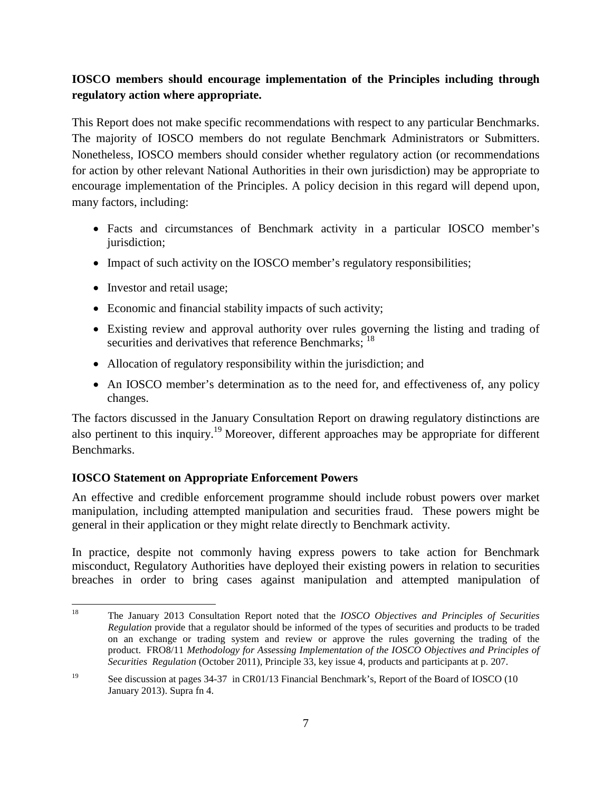## **IOSCO members should encourage implementation of the Principles including through regulatory action where appropriate.**

This Report does not make specific recommendations with respect to any particular Benchmarks. The majority of IOSCO members do not regulate Benchmark Administrators or Submitters. Nonetheless, IOSCO members should consider whether regulatory action (or recommendations for action by other relevant National Authorities in their own jurisdiction) may be appropriate to encourage implementation of the Principles. A policy decision in this regard will depend upon, many factors, including:

- Facts and circumstances of Benchmark activity in a particular IOSCO member's jurisdiction;
- Impact of such activity on the IOSCO member's regulatory responsibilities;
- Investor and retail usage;
- Economic and financial stability impacts of such activity;
- Existing review and approval authority over rules governing the listing and trading of securities and derivatives that reference Benchmarks; <sup>18</sup>
- Allocation of regulatory responsibility within the jurisdiction; and
- An IOSCO member's determination as to the need for, and effectiveness of, any policy changes.

The factors discussed in the January Consultation Report on drawing regulatory distinctions are also pertinent to this inquiry.<sup>19</sup> Moreover, different approaches may be appropriate for different Benchmarks.

## **IOSCO Statement on Appropriate Enforcement Powers**

An effective and credible enforcement programme should include robust powers over market manipulation, including attempted manipulation and securities fraud. These powers might be general in their application or they might relate directly to Benchmark activity.

In practice, despite not commonly having express powers to take action for Benchmark misconduct, Regulatory Authorities have deployed their existing powers in relation to securities breaches in order to bring cases against manipulation and attempted manipulation of

 <sup>18</sup> The January 2013 Consultation Report noted that the *IOSCO Objectives and Principles of Securities Regulation* provide that a regulator should be informed of the types of securities and products to be traded on an exchange or trading system and review or approve the rules governing the trading of the product. FRO8/11 *Methodology for Assessing Implementation of the IOSCO Objectives and Principles of Securities Regulation* (October 2011), Principle 33, key issue 4, products and participants at p. 207.

<sup>&</sup>lt;sup>19</sup> See discussion at pages 34-37 in CR01/13 Financial Benchmark's, Report of the Board of IOSCO (10 January 2013). Supra fn 4.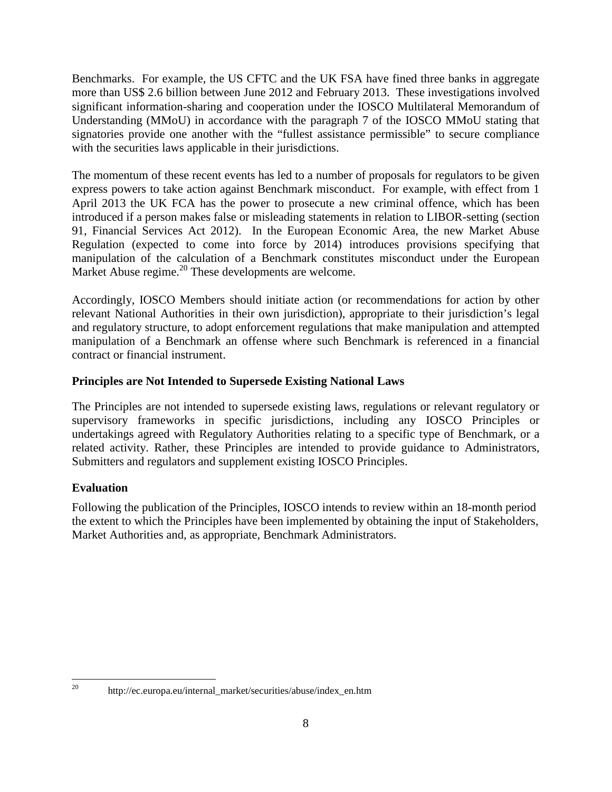Benchmarks. For example, the US CFTC and the UK FSA have fined three banks in aggregate more than US\$ 2.6 billion between June 2012 and February 2013. These investigations involved significant information-sharing and cooperation under the IOSCO Multilateral Memorandum of Understanding (MMoU) in accordance with the paragraph 7 of the IOSCO MMoU stating that signatories provide one another with the "fullest assistance permissible" to secure compliance with the securities laws applicable in their jurisdictions.

The momentum of these recent events has led to a number of proposals for regulators to be given express powers to take action against Benchmark misconduct. For example, with effect from 1 April 2013 the UK FCA has the power to prosecute a new criminal offence, which has been introduced if a person makes false or misleading statements in relation to LIBOR-setting (section 91, Financial Services Act 2012). In the European Economic Area, the new Market Abuse Regulation (expected to come into force by 2014) introduces provisions specifying that manipulation of the calculation of a Benchmark constitutes misconduct under the European Market Abuse regime.<sup>20</sup> These developments are welcome.

Accordingly, IOSCO Members should initiate action (or recommendations for action by other relevant National Authorities in their own jurisdiction), appropriate to their jurisdiction's legal and regulatory structure, to adopt enforcement regulations that make manipulation and attempted manipulation of a Benchmark an offense where such Benchmark is referenced in a financial contract or financial instrument.

## **Principles are Not Intended to Supersede Existing National Laws**

The Principles are not intended to supersede existing laws, regulations or relevant regulatory or supervisory frameworks in specific jurisdictions, including any IOSCO Principles or undertakings agreed with Regulatory Authorities relating to a specific type of Benchmark, or a related activity. Rather, these Principles are intended to provide guidance to Administrators, Submitters and regulators and supplement existing IOSCO Principles.

## **Evaluation**

Following the publication of the Principles, IOSCO intends to review within an 18-month period the extent to which the Principles have been implemented by obtaining the input of Stakeholders, Market Authorities and, as appropriate, Benchmark Administrators.

 <sup>20</sup> http://ec.europa.eu/internal\_market/securities/abuse/index\_en.htm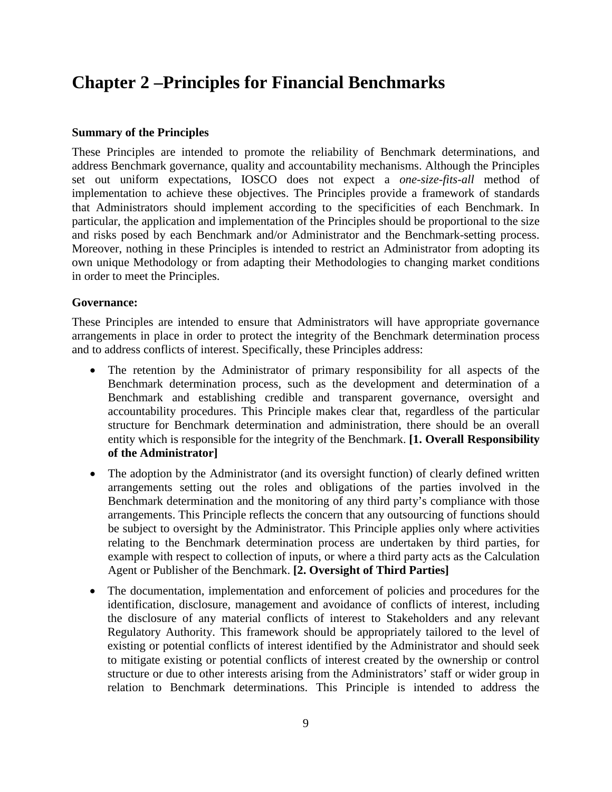## **Chapter 2 –Principles for Financial Benchmarks**

#### **Summary of the Principles**

These Principles are intended to promote the reliability of Benchmark determinations, and address Benchmark governance, quality and accountability mechanisms. Although the Principles set out uniform expectations, IOSCO does not expect a *one-size-fits-all* method of implementation to achieve these objectives. The Principles provide a framework of standards that Administrators should implement according to the specificities of each Benchmark. In particular, the application and implementation of the Principles should be proportional to the size and risks posed by each Benchmark and/or Administrator and the Benchmark-setting process. Moreover, nothing in these Principles is intended to restrict an Administrator from adopting its own unique Methodology or from adapting their Methodologies to changing market conditions in order to meet the Principles.

#### **Governance:**

These Principles are intended to ensure that Administrators will have appropriate governance arrangements in place in order to protect the integrity of the Benchmark determination process and to address conflicts of interest. Specifically, these Principles address:

- The retention by the Administrator of primary responsibility for all aspects of the Benchmark determination process, such as the development and determination of a Benchmark and establishing credible and transparent governance, oversight and accountability procedures. This Principle makes clear that, regardless of the particular structure for Benchmark determination and administration, there should be an overall entity which is responsible for the integrity of the Benchmark. **[1. Overall Responsibility of the Administrator]**
- The adoption by the Administrator (and its oversight function) of clearly defined written arrangements setting out the roles and obligations of the parties involved in the Benchmark determination and the monitoring of any third party's compliance with those arrangements. This Principle reflects the concern that any outsourcing of functions should be subject to oversight by the Administrator. This Principle applies only where activities relating to the Benchmark determination process are undertaken by third parties, for example with respect to collection of inputs, or where a third party acts as the Calculation Agent or Publisher of the Benchmark. **[2. Oversight of Third Parties]**
- The documentation, implementation and enforcement of policies and procedures for the identification, disclosure, management and avoidance of conflicts of interest, including the disclosure of any material conflicts of interest to Stakeholders and any relevant Regulatory Authority. This framework should be appropriately tailored to the level of existing or potential conflicts of interest identified by the Administrator and should seek to mitigate existing or potential conflicts of interest created by the ownership or control structure or due to other interests arising from the Administrators' staff or wider group in relation to Benchmark determinations. This Principle is intended to address the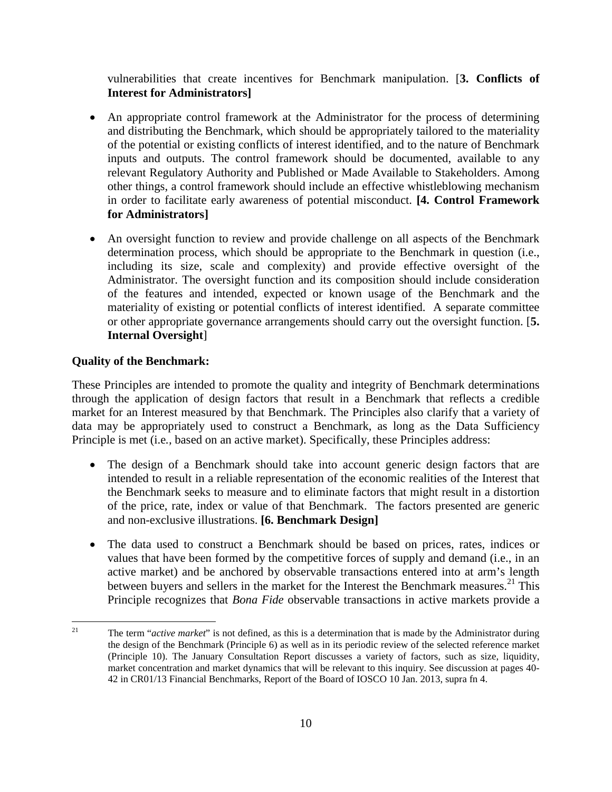vulnerabilities that create incentives for Benchmark manipulation. [**3. Conflicts of Interest for Administrators]**

- An appropriate control framework at the Administrator for the process of determining and distributing the Benchmark, which should be appropriately tailored to the materiality of the potential or existing conflicts of interest identified, and to the nature of Benchmark inputs and outputs. The control framework should be documented, available to any relevant Regulatory Authority and Published or Made Available to Stakeholders. Among other things, a control framework should include an effective whistleblowing mechanism in order to facilitate early awareness of potential misconduct. **[4. Control Framework for Administrators]**
- An oversight function to review and provide challenge on all aspects of the Benchmark determination process, which should be appropriate to the Benchmark in question (i.e., including its size, scale and complexity) and provide effective oversight of the Administrator. The oversight function and its composition should include consideration of the features and intended, expected or known usage of the Benchmark and the materiality of existing or potential conflicts of interest identified. A separate committee or other appropriate governance arrangements should carry out the oversight function. [**5. Internal Oversight**]

## **Quality of the Benchmark:**

These Principles are intended to promote the quality and integrity of Benchmark determinations through the application of design factors that result in a Benchmark that reflects a credible market for an Interest measured by that Benchmark. The Principles also clarify that a variety of data may be appropriately used to construct a Benchmark, as long as the Data Sufficiency Principle is met (i.e*.,* based on an active market). Specifically, these Principles address:

- The design of a Benchmark should take into account generic design factors that are intended to result in a reliable representation of the economic realities of the Interest that the Benchmark seeks to measure and to eliminate factors that might result in a distortion of the price, rate, index or value of that Benchmark. The factors presented are generic and non-exclusive illustrations. **[6. Benchmark Design]**
- The data used to construct a Benchmark should be based on prices, rates, indices or values that have been formed by the competitive forces of supply and demand (i.e., in an active market) and be anchored by observable transactions entered into at arm's length between buyers and sellers in the market for the Interest the Benchmark measures.<sup>21</sup> This Principle recognizes that *Bona Fide* observable transactions in active markets provide a

<sup>&</sup>lt;sup>21</sup> The term "*active market*" is not defined, as this is a determination that is made by the Administrator during the design of the Benchmark (Principle 6) as well as in its periodic review of the selected reference market (Principle 10). The January Consultation Report discusses a variety of factors, such as size, liquidity, market concentration and market dynamics that will be relevant to this inquiry. See discussion at pages 40- 42 in CR01/13 Financial Benchmarks, Report of the Board of IOSCO 10 Jan. 2013, supra fn 4.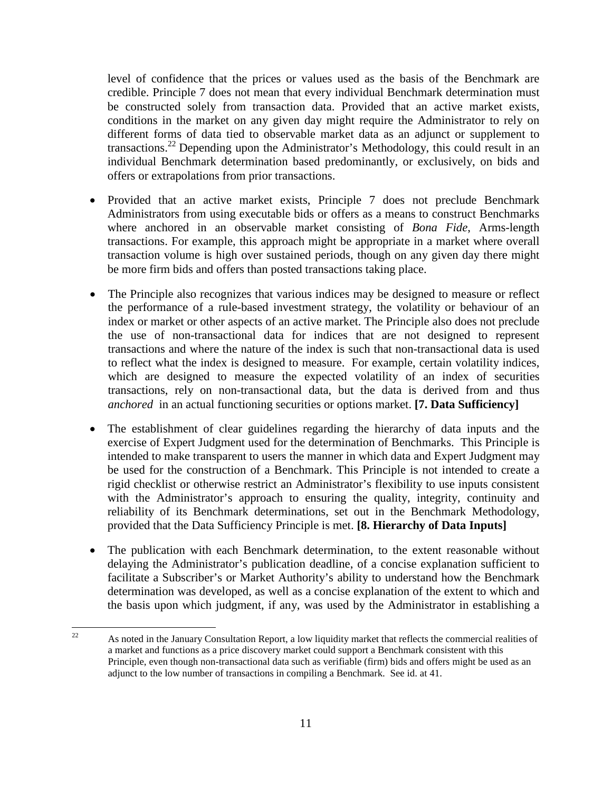level of confidence that the prices or values used as the basis of the Benchmark are credible. Principle 7 does not mean that every individual Benchmark determination must be constructed solely from transaction data. Provided that an active market exists, conditions in the market on any given day might require the Administrator to rely on different forms of data tied to observable market data as an adjunct or supplement to transactions.<sup>22</sup> Depending upon the Administrator's Methodology, this could result in an individual Benchmark determination based predominantly, or exclusively, on bids and offers or extrapolations from prior transactions.

- Provided that an active market exists, Principle 7 does not preclude Benchmark Administrators from using executable bids or offers as a means to construct Benchmarks where anchored in an observable market consisting of *Bona Fide*, Arms-length transactions. For example, this approach might be appropriate in a market where overall transaction volume is high over sustained periods, though on any given day there might be more firm bids and offers than posted transactions taking place.
- The Principle also recognizes that various indices may be designed to measure or reflect the performance of a rule-based investment strategy, the volatility or behaviour of an index or market or other aspects of an active market. The Principle also does not preclude the use of non-transactional data for indices that are not designed to represent transactions and where the nature of the index is such that non-transactional data is used to reflect what the index is designed to measure. For example, certain volatility indices, which are designed to measure the expected volatility of an index of securities transactions, rely on non-transactional data, but the data is derived from and thus *anchored* in an actual functioning securities or options market. **[7. Data Sufficiency]**
- The establishment of clear guidelines regarding the hierarchy of data inputs and the exercise of Expert Judgment used for the determination of Benchmarks. This Principle is intended to make transparent to users the manner in which data and Expert Judgment may be used for the construction of a Benchmark. This Principle is not intended to create a rigid checklist or otherwise restrict an Administrator's flexibility to use inputs consistent with the Administrator's approach to ensuring the quality, integrity, continuity and reliability of its Benchmark determinations, set out in the Benchmark Methodology, provided that the Data Sufficiency Principle is met. **[8. Hierarchy of Data Inputs]**
- The publication with each Benchmark determination, to the extent reasonable without delaying the Administrator's publication deadline, of a concise explanation sufficient to facilitate a Subscriber's or Market Authority's ability to understand how the Benchmark determination was developed, as well as a concise explanation of the extent to which and the basis upon which judgment, if any, was used by the Administrator in establishing a

<sup>&</sup>lt;sup>22</sup> As noted in the January Consultation Report, a low liquidity market that reflects the commercial realities of a market and functions as a price discovery market could support a Benchmark consistent with this Principle, even though non-transactional data such as verifiable (firm) bids and offers might be used as an adjunct to the low number of transactions in compiling a Benchmark. See id. at 41.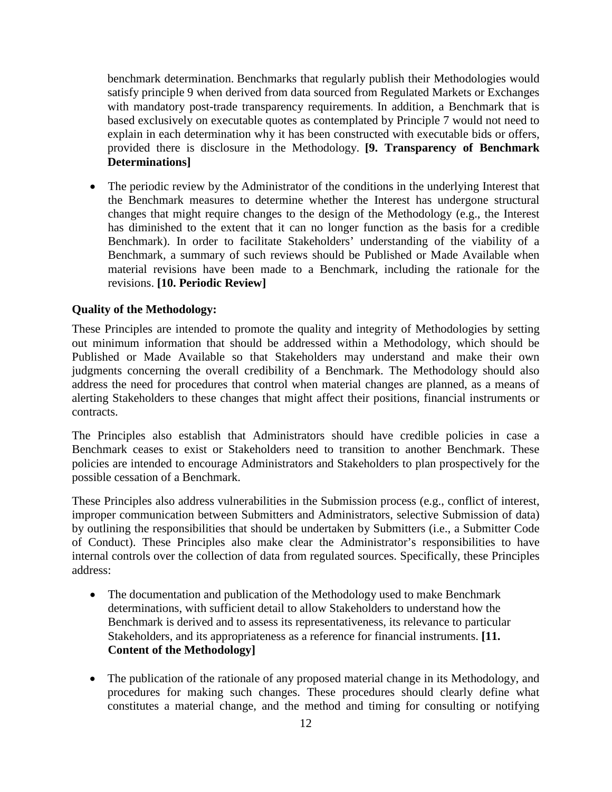benchmark determination. Benchmarks that regularly publish their Methodologies would satisfy principle 9 when derived from data sourced from Regulated Markets or Exchanges with mandatory post-trade transparency requirements. In addition, a Benchmark that is based exclusively on executable quotes as contemplated by Principle 7 would not need to explain in each determination why it has been constructed with executable bids or offers, provided there is disclosure in the Methodology. **[9. Transparency of Benchmark Determinations]**

• The periodic review by the Administrator of the conditions in the underlying Interest that the Benchmark measures to determine whether the Interest has undergone structural changes that might require changes to the design of the Methodology (e.g., the Interest has diminished to the extent that it can no longer function as the basis for a credible Benchmark). In order to facilitate Stakeholders' understanding of the viability of a Benchmark, a summary of such reviews should be Published or Made Available when material revisions have been made to a Benchmark, including the rationale for the revisions. **[10. Periodic Review]**

#### **Quality of the Methodology:**

These Principles are intended to promote the quality and integrity of Methodologies by setting out minimum information that should be addressed within a Methodology, which should be Published or Made Available so that Stakeholders may understand and make their own judgments concerning the overall credibility of a Benchmark. The Methodology should also address the need for procedures that control when material changes are planned, as a means of alerting Stakeholders to these changes that might affect their positions, financial instruments or contracts.

The Principles also establish that Administrators should have credible policies in case a Benchmark ceases to exist or Stakeholders need to transition to another Benchmark. These policies are intended to encourage Administrators and Stakeholders to plan prospectively for the possible cessation of a Benchmark.

These Principles also address vulnerabilities in the Submission process (e.g., conflict of interest, improper communication between Submitters and Administrators, selective Submission of data) by outlining the responsibilities that should be undertaken by Submitters (i.e., a Submitter Code of Conduct). These Principles also make clear the Administrator's responsibilities to have internal controls over the collection of data from regulated sources. Specifically, these Principles address:

- The documentation and publication of the Methodology used to make Benchmark determinations, with sufficient detail to allow Stakeholders to understand how the Benchmark is derived and to assess its representativeness, its relevance to particular Stakeholders, and its appropriateness as a reference for financial instruments. **[11. Content of the Methodology]**
- The publication of the rationale of any proposed material change in its Methodology, and procedures for making such changes. These procedures should clearly define what constitutes a material change, and the method and timing for consulting or notifying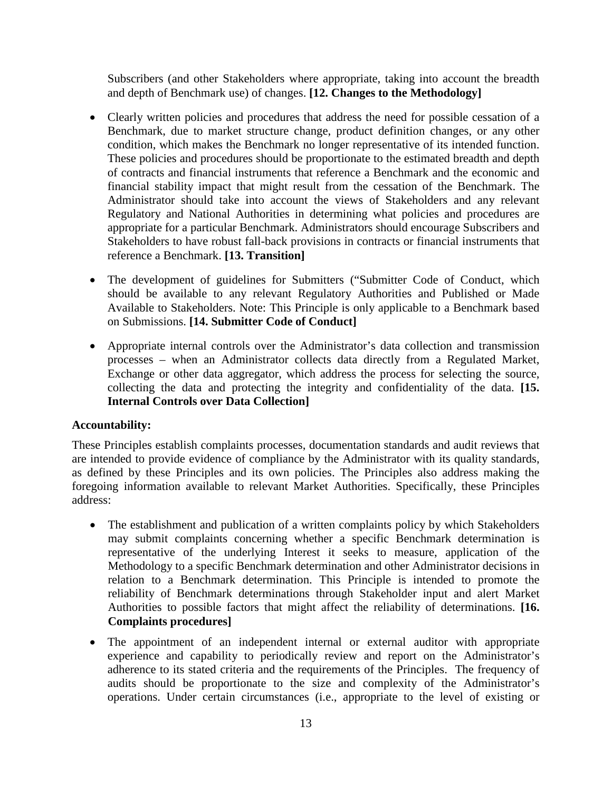Subscribers (and other Stakeholders where appropriate, taking into account the breadth and depth of Benchmark use) of changes. **[12. Changes to the Methodology]** 

- Clearly written policies and procedures that address the need for possible cessation of a Benchmark, due to market structure change, product definition changes, or any other condition, which makes the Benchmark no longer representative of its intended function. These policies and procedures should be proportionate to the estimated breadth and depth of contracts and financial instruments that reference a Benchmark and the economic and financial stability impact that might result from the cessation of the Benchmark. The Administrator should take into account the views of Stakeholders and any relevant Regulatory and National Authorities in determining what policies and procedures are appropriate for a particular Benchmark. Administrators should encourage Subscribers and Stakeholders to have robust fall-back provisions in contracts or financial instruments that reference a Benchmark. **[13. Transition]**
- The development of guidelines for Submitters ("Submitter Code of Conduct, which should be available to any relevant Regulatory Authorities and Published or Made Available to Stakeholders. Note: This Principle is only applicable to a Benchmark based on Submissions. **[14. Submitter Code of Conduct]**
- Appropriate internal controls over the Administrator's data collection and transmission processes – when an Administrator collects data directly from a Regulated Market, Exchange or other data aggregator, which address the process for selecting the source, collecting the data and protecting the integrity and confidentiality of the data. **[15. Internal Controls over Data Collection]**

#### **Accountability:**

These Principles establish complaints processes, documentation standards and audit reviews that are intended to provide evidence of compliance by the Administrator with its quality standards, as defined by these Principles and its own policies. The Principles also address making the foregoing information available to relevant Market Authorities. Specifically, these Principles address:

- The establishment and publication of a written complaints policy by which Stakeholders may submit complaints concerning whether a specific Benchmark determination is representative of the underlying Interest it seeks to measure, application of the Methodology to a specific Benchmark determination and other Administrator decisions in relation to a Benchmark determination. This Principle is intended to promote the reliability of Benchmark determinations through Stakeholder input and alert Market Authorities to possible factors that might affect the reliability of determinations. **[16. Complaints procedures]**
- The appointment of an independent internal or external auditor with appropriate experience and capability to periodically review and report on the Administrator's adherence to its stated criteria and the requirements of the Principles. The frequency of audits should be proportionate to the size and complexity of the Administrator's operations. Under certain circumstances (i.e., appropriate to the level of existing or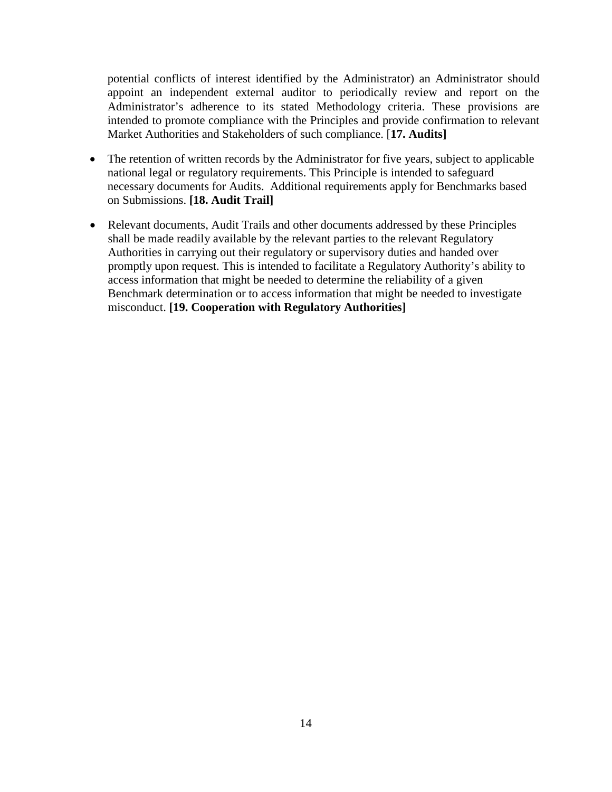potential conflicts of interest identified by the Administrator) an Administrator should appoint an independent external auditor to periodically review and report on the Administrator's adherence to its stated Methodology criteria. These provisions are intended to promote compliance with the Principles and provide confirmation to relevant Market Authorities and Stakeholders of such compliance. [**17. Audits]** 

- The retention of written records by the Administrator for five years, subject to applicable national legal or regulatory requirements. This Principle is intended to safeguard necessary documents for Audits. Additional requirements apply for Benchmarks based on Submissions. **[18. Audit Trail]**
- Relevant documents, Audit Trails and other documents addressed by these Principles shall be made readily available by the relevant parties to the relevant Regulatory Authorities in carrying out their regulatory or supervisory duties and handed over promptly upon request. This is intended to facilitate a Regulatory Authority's ability to access information that might be needed to determine the reliability of a given Benchmark determination or to access information that might be needed to investigate misconduct. **[19. Cooperation with Regulatory Authorities]**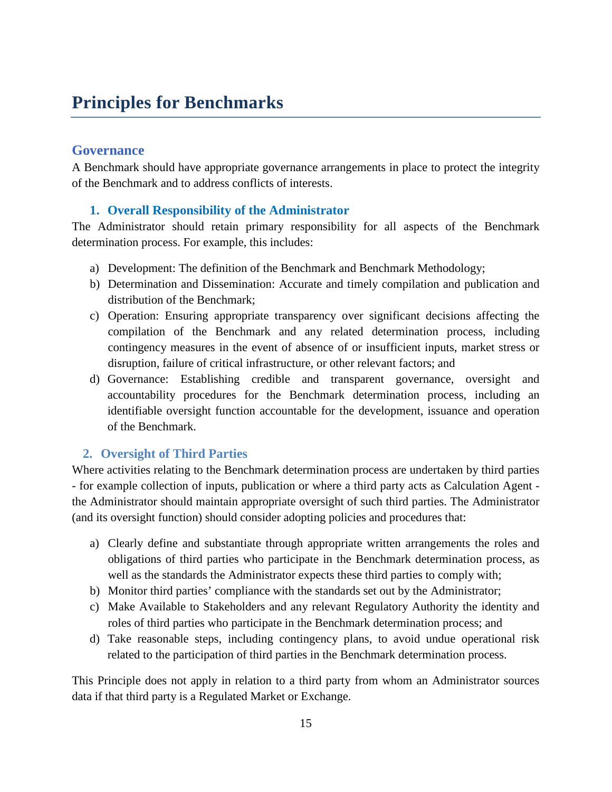## **Principles for Benchmarks**

## **Governance**

A Benchmark should have appropriate governance arrangements in place to protect the integrity of the Benchmark and to address conflicts of interests.

## **1. Overall Responsibility of the Administrator**

The Administrator should retain primary responsibility for all aspects of the Benchmark determination process. For example, this includes:

- a) Development: The definition of the Benchmark and Benchmark Methodology;
- b) Determination and Dissemination: Accurate and timely compilation and publication and distribution of the Benchmark;
- c) Operation: Ensuring appropriate transparency over significant decisions affecting the compilation of the Benchmark and any related determination process, including contingency measures in the event of absence of or insufficient inputs, market stress or disruption, failure of critical infrastructure, or other relevant factors; and
- d) Governance: Establishing credible and transparent governance, oversight and accountability procedures for the Benchmark determination process, including an identifiable oversight function accountable for the development, issuance and operation of the Benchmark.

## **2. Oversight of Third Parties**

Where activities relating to the Benchmark determination process are undertaken by third parties - for example collection of inputs, publication or where a third party acts as Calculation Agent the Administrator should maintain appropriate oversight of such third parties. The Administrator (and its oversight function) should consider adopting policies and procedures that:

- a) Clearly define and substantiate through appropriate written arrangements the roles and obligations of third parties who participate in the Benchmark determination process, as well as the standards the Administrator expects these third parties to comply with;
- b) Monitor third parties' compliance with the standards set out by the Administrator;
- c) Make Available to Stakeholders and any relevant Regulatory Authority the identity and roles of third parties who participate in the Benchmark determination process; and
- d) Take reasonable steps, including contingency plans, to avoid undue operational risk related to the participation of third parties in the Benchmark determination process.

This Principle does not apply in relation to a third party from whom an Administrator sources data if that third party is a Regulated Market or Exchange.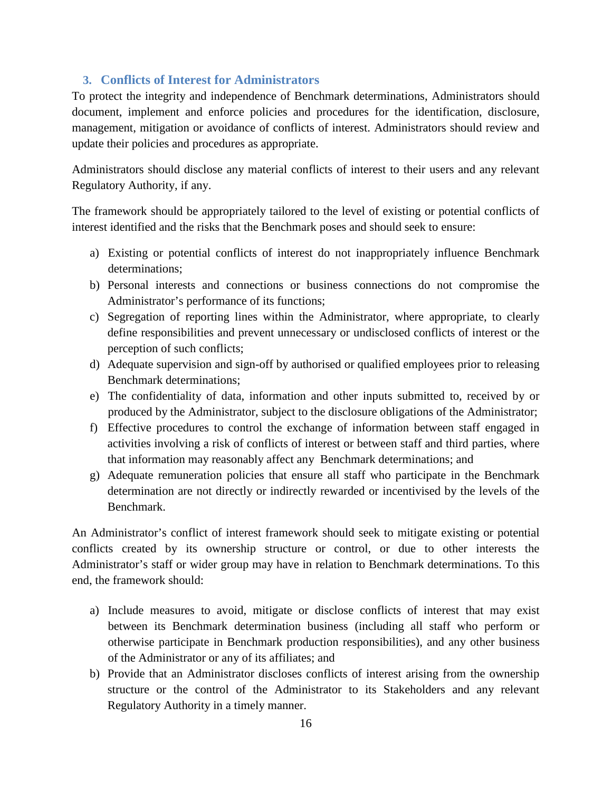## **3. Conflicts of Interest for Administrators**

To protect the integrity and independence of Benchmark determinations, Administrators should document, implement and enforce policies and procedures for the identification, disclosure, management, mitigation or avoidance of conflicts of interest. Administrators should review and update their policies and procedures as appropriate.

Administrators should disclose any material conflicts of interest to their users and any relevant Regulatory Authority, if any.

The framework should be appropriately tailored to the level of existing or potential conflicts of interest identified and the risks that the Benchmark poses and should seek to ensure:

- a) Existing or potential conflicts of interest do not inappropriately influence Benchmark determinations;
- b) Personal interests and connections or business connections do not compromise the Administrator's performance of its functions;
- c) Segregation of reporting lines within the Administrator, where appropriate, to clearly define responsibilities and prevent unnecessary or undisclosed conflicts of interest or the perception of such conflicts;
- d) Adequate supervision and sign-off by authorised or qualified employees prior to releasing Benchmark determinations;
- e) The confidentiality of data, information and other inputs submitted to, received by or produced by the Administrator, subject to the disclosure obligations of the Administrator;
- f) Effective procedures to control the exchange of information between staff engaged in activities involving a risk of conflicts of interest or between staff and third parties, where that information may reasonably affect any Benchmark determinations; and
- g) Adequate remuneration policies that ensure all staff who participate in the Benchmark determination are not directly or indirectly rewarded or incentivised by the levels of the Benchmark.

An Administrator's conflict of interest framework should seek to mitigate existing or potential conflicts created by its ownership structure or control, or due to other interests the Administrator's staff or wider group may have in relation to Benchmark determinations. To this end, the framework should:

- a) Include measures to avoid, mitigate or disclose conflicts of interest that may exist between its Benchmark determination business (including all staff who perform or otherwise participate in Benchmark production responsibilities), and any other business of the Administrator or any of its affiliates; and
- b) Provide that an Administrator discloses conflicts of interest arising from the ownership structure or the control of the Administrator to its Stakeholders and any relevant Regulatory Authority in a timely manner.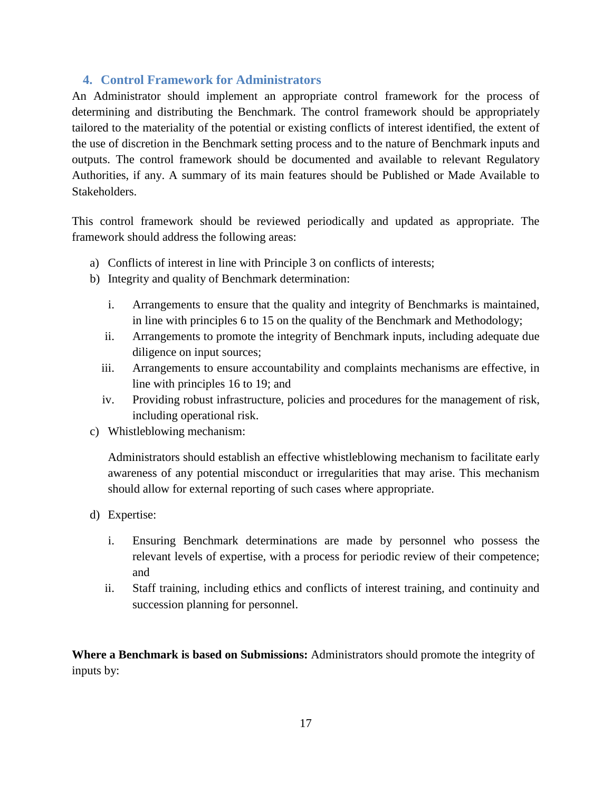## **4. Control Framework for Administrators**

An Administrator should implement an appropriate control framework for the process of determining and distributing the Benchmark. The control framework should be appropriately tailored to the materiality of the potential or existing conflicts of interest identified, the extent of the use of discretion in the Benchmark setting process and to the nature of Benchmark inputs and outputs. The control framework should be documented and available to relevant Regulatory Authorities, if any. A summary of its main features should be Published or Made Available to Stakeholders.

This control framework should be reviewed periodically and updated as appropriate. The framework should address the following areas:

- a) Conflicts of interest in line with Principle 3 on conflicts of interests;
- b) Integrity and quality of Benchmark determination:
	- i. Arrangements to ensure that the quality and integrity of Benchmarks is maintained, in line with principles 6 to 15 on the quality of the Benchmark and Methodology;
	- ii. Arrangements to promote the integrity of Benchmark inputs, including adequate due diligence on input sources;
	- iii. Arrangements to ensure accountability and complaints mechanisms are effective, in line with principles 16 to 19; and
	- iv. Providing robust infrastructure, policies and procedures for the management of risk, including operational risk.
- c) Whistleblowing mechanism:

Administrators should establish an effective whistleblowing mechanism to facilitate early awareness of any potential misconduct or irregularities that may arise. This mechanism should allow for external reporting of such cases where appropriate.

- d) Expertise:
	- i. Ensuring Benchmark determinations are made by personnel who possess the relevant levels of expertise, with a process for periodic review of their competence; and
	- ii. Staff training, including ethics and conflicts of interest training, and continuity and succession planning for personnel.

**Where a Benchmark is based on Submissions:** Administrators should promote the integrity of inputs by: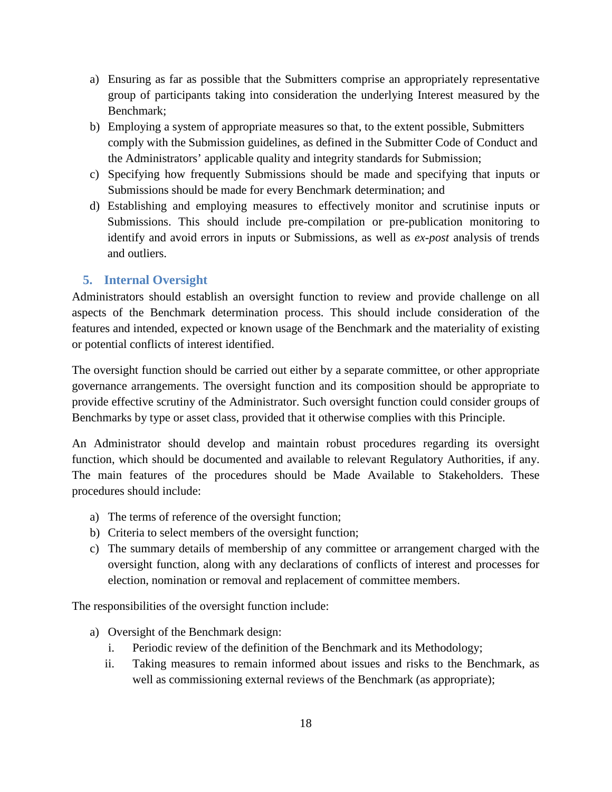- a) Ensuring as far as possible that the Submitters comprise an appropriately representative group of participants taking into consideration the underlying Interest measured by the Benchmark;
- b) Employing a system of appropriate measures so that, to the extent possible, Submitters comply with the Submission guidelines, as defined in the Submitter Code of Conduct and the Administrators' applicable quality and integrity standards for Submission;
- c) Specifying how frequently Submissions should be made and specifying that inputs or Submissions should be made for every Benchmark determination; and
- d) Establishing and employing measures to effectively monitor and scrutinise inputs or Submissions. This should include pre-compilation or pre-publication monitoring to identify and avoid errors in inputs or Submissions, as well as *ex-post* analysis of trends and outliers.

## **5. Internal Oversight**

Administrators should establish an oversight function to review and provide challenge on all aspects of the Benchmark determination process. This should include consideration of the features and intended, expected or known usage of the Benchmark and the materiality of existing or potential conflicts of interest identified.

The oversight function should be carried out either by a separate committee, or other appropriate governance arrangements. The oversight function and its composition should be appropriate to provide effective scrutiny of the Administrator. Such oversight function could consider groups of Benchmarks by type or asset class, provided that it otherwise complies with this Principle.

An Administrator should develop and maintain robust procedures regarding its oversight function, which should be documented and available to relevant Regulatory Authorities, if any. The main features of the procedures should be Made Available to Stakeholders. These procedures should include:

- a) The terms of reference of the oversight function;
- b) Criteria to select members of the oversight function;
- c) The summary details of membership of any committee or arrangement charged with the oversight function, along with any declarations of conflicts of interest and processes for election, nomination or removal and replacement of committee members.

The responsibilities of the oversight function include:

- a) Oversight of the Benchmark design:
	- i. Periodic review of the definition of the Benchmark and its Methodology;
	- ii. Taking measures to remain informed about issues and risks to the Benchmark, as well as commissioning external reviews of the Benchmark (as appropriate);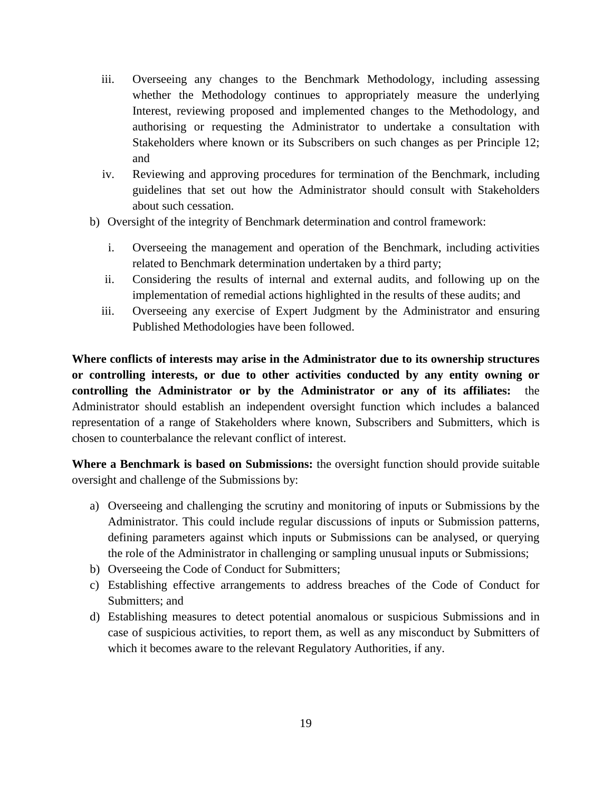- iii. Overseeing any changes to the Benchmark Methodology, including assessing whether the Methodology continues to appropriately measure the underlying Interest, reviewing proposed and implemented changes to the Methodology, and authorising or requesting the Administrator to undertake a consultation with Stakeholders where known or its Subscribers on such changes as per Principle 12; and
- iv. Reviewing and approving procedures for termination of the Benchmark, including guidelines that set out how the Administrator should consult with Stakeholders about such cessation.
- b) Oversight of the integrity of Benchmark determination and control framework:
	- i. Overseeing the management and operation of the Benchmark, including activities related to Benchmark determination undertaken by a third party;
	- ii. Considering the results of internal and external audits, and following up on the implementation of remedial actions highlighted in the results of these audits; and
	- iii. Overseeing any exercise of Expert Judgment by the Administrator and ensuring Published Methodologies have been followed.

**Where conflicts of interests may arise in the Administrator due to its ownership structures or controlling interests, or due to other activities conducted by any entity owning or controlling the Administrator or by the Administrator or any of its affiliates:** the Administrator should establish an independent oversight function which includes a balanced representation of a range of Stakeholders where known, Subscribers and Submitters, which is chosen to counterbalance the relevant conflict of interest.

**Where a Benchmark is based on Submissions:** the oversight function should provide suitable oversight and challenge of the Submissions by:

- a) Overseeing and challenging the scrutiny and monitoring of inputs or Submissions by the Administrator. This could include regular discussions of inputs or Submission patterns, defining parameters against which inputs or Submissions can be analysed, or querying the role of the Administrator in challenging or sampling unusual inputs or Submissions;
- b) Overseeing the Code of Conduct for Submitters;
- c) Establishing effective arrangements to address breaches of the Code of Conduct for Submitters; and
- d) Establishing measures to detect potential anomalous or suspicious Submissions and in case of suspicious activities, to report them, as well as any misconduct by Submitters of which it becomes aware to the relevant Regulatory Authorities, if any.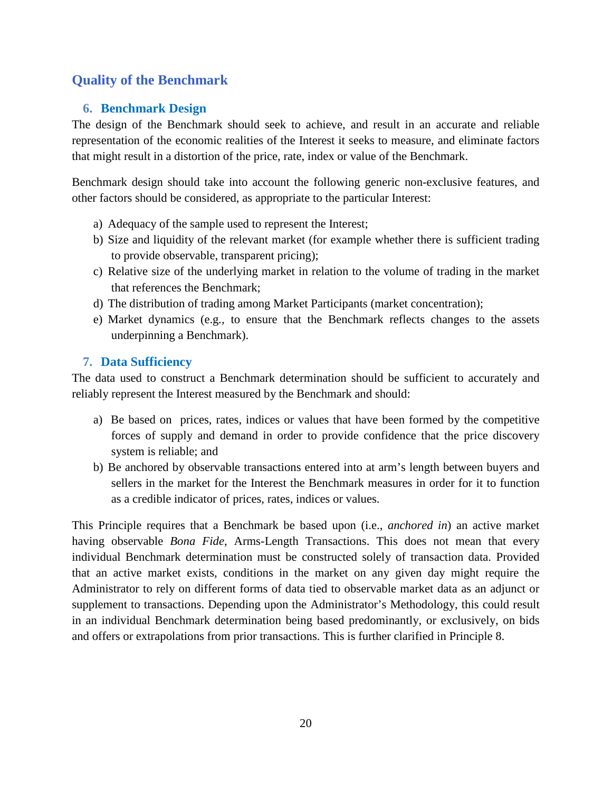## **Quality of the Benchmark**

## **6. Benchmark Design**

The design of the Benchmark should seek to achieve, and result in an accurate and reliable representation of the economic realities of the Interest it seeks to measure, and eliminate factors that might result in a distortion of the price, rate, index or value of the Benchmark.

Benchmark design should take into account the following generic non-exclusive features, and other factors should be considered, as appropriate to the particular Interest:

- a) Adequacy of the sample used to represent the Interest;
- b) Size and liquidity of the relevant market (for example whether there is sufficient trading to provide observable, transparent pricing);
- c) Relative size of the underlying market in relation to the volume of trading in the market that references the Benchmark;
- d) The distribution of trading among Market Participants (market concentration);
- e) Market dynamics (e.g*.,* to ensure that the Benchmark reflects changes to the assets underpinning a Benchmark).

## **7. Data Sufficiency**

The data used to construct a Benchmark determination should be sufficient to accurately and reliably represent the Interest measured by the Benchmark and should:

- a) Be based on prices, rates, indices or values that have been formed by the competitive forces of supply and demand in order to provide confidence that the price discovery system is reliable; and
- b) Be anchored by observable transactions entered into at arm's length between buyers and sellers in the market for the Interest the Benchmark measures in order for it to function as a credible indicator of prices, rates, indices or values.

This Principle requires that a Benchmark be based upon (i.e., *anchored in*) an active market having observable *Bona Fide*, Arms-Length Transactions. This does not mean that every individual Benchmark determination must be constructed solely of transaction data. Provided that an active market exists, conditions in the market on any given day might require the Administrator to rely on different forms of data tied to observable market data as an adjunct or supplement to transactions. Depending upon the Administrator's Methodology, this could result in an individual Benchmark determination being based predominantly, or exclusively, on bids and offers or extrapolations from prior transactions. This is further clarified in Principle 8.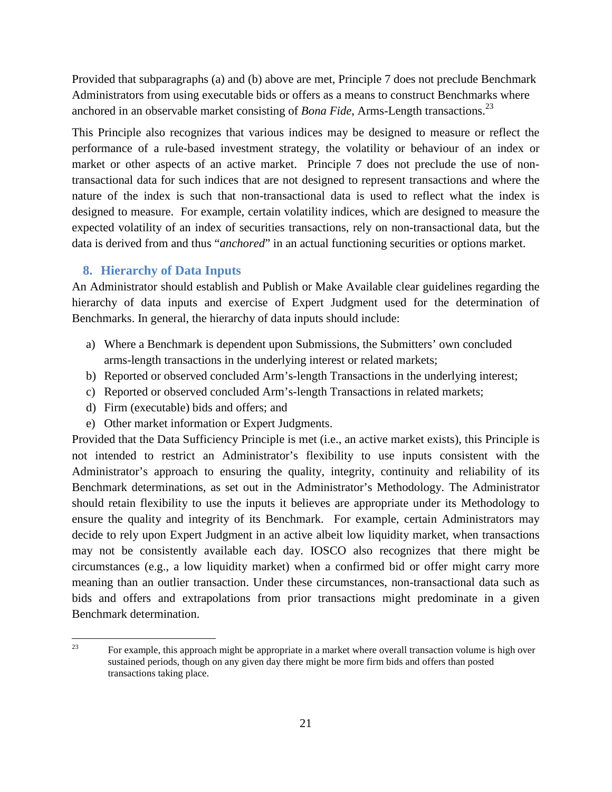Provided that subparagraphs (a) and (b) above are met, Principle 7 does not preclude Benchmark Administrators from using executable bids or offers as a means to construct Benchmarks where anchored in an observable market consisting of *Bona Fide*, Arms-Length transactions.<sup>23</sup>

This Principle also recognizes that various indices may be designed to measure or reflect the performance of a rule-based investment strategy, the volatility or behaviour of an index or market or other aspects of an active market. Principle 7 does not preclude the use of nontransactional data for such indices that are not designed to represent transactions and where the nature of the index is such that non-transactional data is used to reflect what the index is designed to measure. For example, certain volatility indices, which are designed to measure the expected volatility of an index of securities transactions, rely on non-transactional data, but the data is derived from and thus "*anchored*" in an actual functioning securities or options market.

#### **8. Hierarchy of Data Inputs**

An Administrator should establish and Publish or Make Available clear guidelines regarding the hierarchy of data inputs and exercise of Expert Judgment used for the determination of Benchmarks. In general, the hierarchy of data inputs should include:

- a) Where a Benchmark is dependent upon Submissions, the Submitters' own concluded arms-length transactions in the underlying interest or related markets;
- b) Reported or observed concluded Arm's-length Transactions in the underlying interest;
- c) Reported or observed concluded Arm's-length Transactions in related markets;
- d) Firm (executable) bids and offers; and
- e) Other market information or Expert Judgments.

Provided that the Data Sufficiency Principle is met (i.e., an active market exists), this Principle is not intended to restrict an Administrator's flexibility to use inputs consistent with the Administrator's approach to ensuring the quality, integrity, continuity and reliability of its Benchmark determinations, as set out in the Administrator's Methodology. The Administrator should retain flexibility to use the inputs it believes are appropriate under its Methodology to ensure the quality and integrity of its Benchmark. For example, certain Administrators may decide to rely upon Expert Judgment in an active albeit low liquidity market, when transactions may not be consistently available each day. IOSCO also recognizes that there might be circumstances (e.g., a low liquidity market) when a confirmed bid or offer might carry more meaning than an outlier transaction. Under these circumstances, non-transactional data such as bids and offers and extrapolations from prior transactions might predominate in a given Benchmark determination.

<sup>&</sup>lt;sup>23</sup> For example, this approach might be appropriate in a market where overall transaction volume is high over sustained periods, though on any given day there might be more firm bids and offers than posted transactions taking place.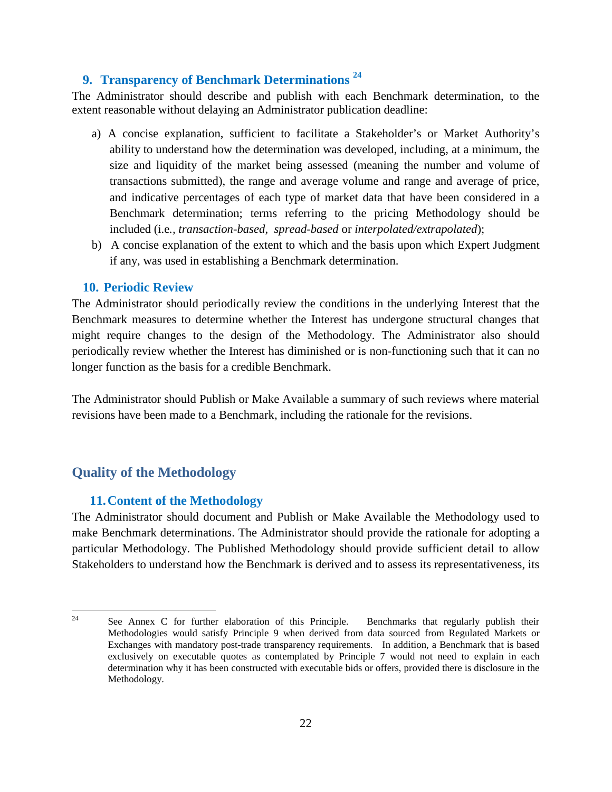## **9. Transparency of Benchmark Determinations <sup>24</sup>**

The Administrator should describe and publish with each Benchmark determination, to the extent reasonable without delaying an Administrator publication deadline:

- a) A concise explanation, sufficient to facilitate a Stakeholder's or Market Authority's ability to understand how the determination was developed, including, at a minimum, the size and liquidity of the market being assessed (meaning the number and volume of transactions submitted), the range and average volume and range and average of price, and indicative percentages of each type of market data that have been considered in a Benchmark determination; terms referring to the pricing Methodology should be included (i.e*., transaction-based*, *spread-based* or *interpolated/extrapolated*);
- b) A concise explanation of the extent to which and the basis upon which Expert Judgment if any, was used in establishing a Benchmark determination.

#### **10. Periodic Review**

The Administrator should periodically review the conditions in the underlying Interest that the Benchmark measures to determine whether the Interest has undergone structural changes that might require changes to the design of the Methodology. The Administrator also should periodically review whether the Interest has diminished or is non-functioning such that it can no longer function as the basis for a credible Benchmark.

The Administrator should Publish or Make Available a summary of such reviews where material revisions have been made to a Benchmark, including the rationale for the revisions.

## **Quality of the Methodology**

## **11.Content of the Methodology**

The Administrator should document and Publish or Make Available the Methodology used to make Benchmark determinations. The Administrator should provide the rationale for adopting a particular Methodology. The Published Methodology should provide sufficient detail to allow Stakeholders to understand how the Benchmark is derived and to assess its representativeness, its

<sup>&</sup>lt;sup>24</sup> See Annex C for further elaboration of this Principle. Benchmarks that regularly publish their Methodologies would satisfy Principle 9 when derived from data sourced from Regulated Markets or Exchanges with mandatory post-trade transparency requirements. In addition, a Benchmark that is based exclusively on executable quotes as contemplated by Principle 7 would not need to explain in each determination why it has been constructed with executable bids or offers, provided there is disclosure in the Methodology.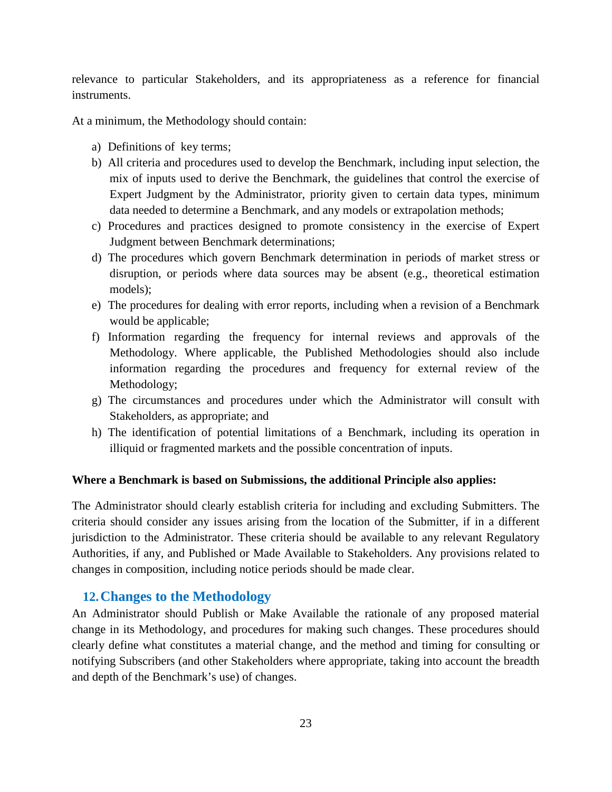relevance to particular Stakeholders, and its appropriateness as a reference for financial instruments.

At a minimum, the Methodology should contain:

- a) Definitions of key terms;
- b) All criteria and procedures used to develop the Benchmark, including input selection, the mix of inputs used to derive the Benchmark, the guidelines that control the exercise of Expert Judgment by the Administrator, priority given to certain data types, minimum data needed to determine a Benchmark, and any models or extrapolation methods;
- c) Procedures and practices designed to promote consistency in the exercise of Expert Judgment between Benchmark determinations;
- d) The procedures which govern Benchmark determination in periods of market stress or disruption, or periods where data sources may be absent (e.g., theoretical estimation models);
- e) The procedures for dealing with error reports, including when a revision of a Benchmark would be applicable;
- f) Information regarding the frequency for internal reviews and approvals of the Methodology. Where applicable, the Published Methodologies should also include information regarding the procedures and frequency for external review of the Methodology;
- g) The circumstances and procedures under which the Administrator will consult with Stakeholders, as appropriate; and
- h) The identification of potential limitations of a Benchmark, including its operation in illiquid or fragmented markets and the possible concentration of inputs.

#### **Where a Benchmark is based on Submissions, the additional Principle also applies:**

The Administrator should clearly establish criteria for including and excluding Submitters. The criteria should consider any issues arising from the location of the Submitter, if in a different jurisdiction to the Administrator. These criteria should be available to any relevant Regulatory Authorities, if any, and Published or Made Available to Stakeholders. Any provisions related to changes in composition, including notice periods should be made clear.

#### **12.Changes to the Methodology**

An Administrator should Publish or Make Available the rationale of any proposed material change in its Methodology, and procedures for making such changes. These procedures should clearly define what constitutes a material change, and the method and timing for consulting or notifying Subscribers (and other Stakeholders where appropriate, taking into account the breadth and depth of the Benchmark's use) of changes.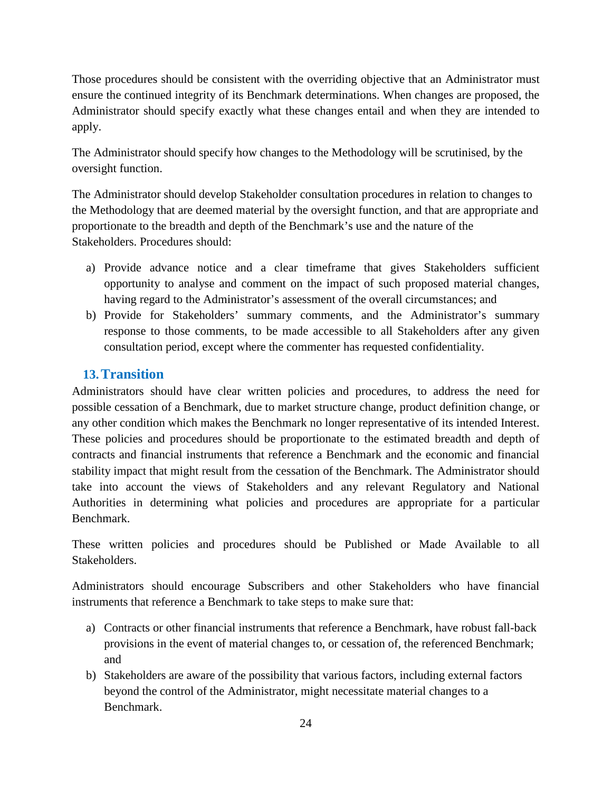Those procedures should be consistent with the overriding objective that an Administrator must ensure the continued integrity of its Benchmark determinations. When changes are proposed, the Administrator should specify exactly what these changes entail and when they are intended to apply.

The Administrator should specify how changes to the Methodology will be scrutinised, by the oversight function.

The Administrator should develop Stakeholder consultation procedures in relation to changes to the Methodology that are deemed material by the oversight function, and that are appropriate and proportionate to the breadth and depth of the Benchmark's use and the nature of the Stakeholders. Procedures should:

- a) Provide advance notice and a clear timeframe that gives Stakeholders sufficient opportunity to analyse and comment on the impact of such proposed material changes, having regard to the Administrator's assessment of the overall circumstances; and
- b) Provide for Stakeholders' summary comments, and the Administrator's summary response to those comments, to be made accessible to all Stakeholders after any given consultation period, except where the commenter has requested confidentiality.

## **13.Transition**

Administrators should have clear written policies and procedures, to address the need for possible cessation of a Benchmark, due to market structure change, product definition change, or any other condition which makes the Benchmark no longer representative of its intended Interest. These policies and procedures should be proportionate to the estimated breadth and depth of contracts and financial instruments that reference a Benchmark and the economic and financial stability impact that might result from the cessation of the Benchmark. The Administrator should take into account the views of Stakeholders and any relevant Regulatory and National Authorities in determining what policies and procedures are appropriate for a particular Benchmark.

These written policies and procedures should be Published or Made Available to all Stakeholders.

Administrators should encourage Subscribers and other Stakeholders who have financial instruments that reference a Benchmark to take steps to make sure that:

- a) Contracts or other financial instruments that reference a Benchmark, have robust fall-back provisions in the event of material changes to, or cessation of, the referenced Benchmark; and
- b) Stakeholders are aware of the possibility that various factors, including external factors beyond the control of the Administrator, might necessitate material changes to a Benchmark.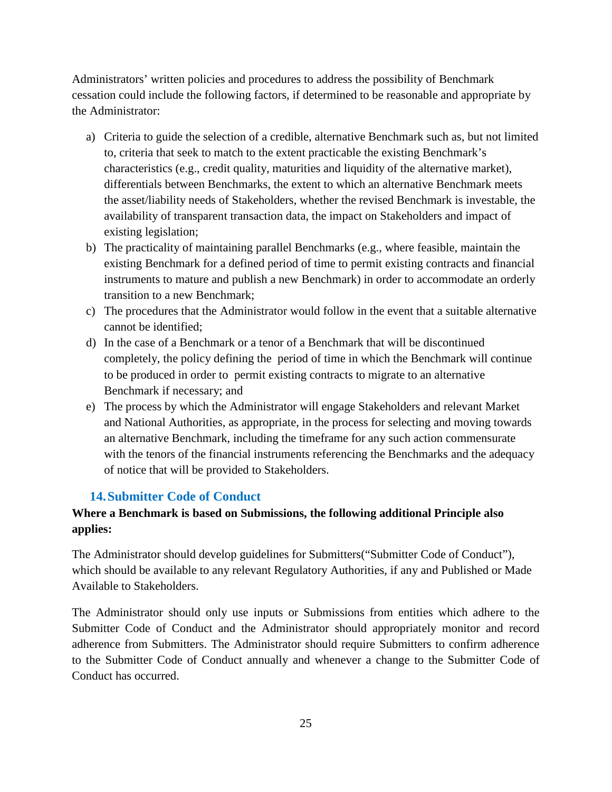Administrators' written policies and procedures to address the possibility of Benchmark cessation could include the following factors, if determined to be reasonable and appropriate by the Administrator:

- a) Criteria to guide the selection of a credible, alternative Benchmark such as, but not limited to, criteria that seek to match to the extent practicable the existing Benchmark's characteristics (e.g., credit quality, maturities and liquidity of the alternative market), differentials between Benchmarks, the extent to which an alternative Benchmark meets the asset/liability needs of Stakeholders, whether the revised Benchmark is investable, the availability of transparent transaction data, the impact on Stakeholders and impact of existing legislation;
- b) The practicality of maintaining parallel Benchmarks (e.g., where feasible, maintain the existing Benchmark for a defined period of time to permit existing contracts and financial instruments to mature and publish a new Benchmark) in order to accommodate an orderly transition to a new Benchmark;
- c) The procedures that the Administrator would follow in the event that a suitable alternative cannot be identified;
- d) In the case of a Benchmark or a tenor of a Benchmark that will be discontinued completely, the policy defining the period of time in which the Benchmark will continue to be produced in order to permit existing contracts to migrate to an alternative Benchmark if necessary; and
- e) The process by which the Administrator will engage Stakeholders and relevant Market and National Authorities, as appropriate, in the process for selecting and moving towards an alternative Benchmark, including the timeframe for any such action commensurate with the tenors of the financial instruments referencing the Benchmarks and the adequacy of notice that will be provided to Stakeholders.

## **14.Submitter Code of Conduct**

## **Where a Benchmark is based on Submissions, the following additional Principle also applies:**

The Administrator should develop guidelines for Submitters("Submitter Code of Conduct"), which should be available to any relevant Regulatory Authorities, if any and Published or Made Available to Stakeholders.

The Administrator should only use inputs or Submissions from entities which adhere to the Submitter Code of Conduct and the Administrator should appropriately monitor and record adherence from Submitters. The Administrator should require Submitters to confirm adherence to the Submitter Code of Conduct annually and whenever a change to the Submitter Code of Conduct has occurred.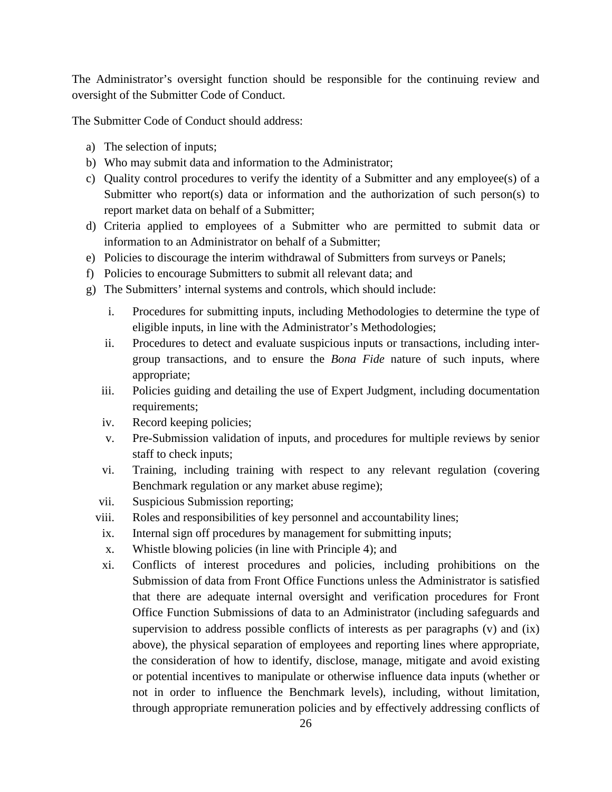The Administrator's oversight function should be responsible for the continuing review and oversight of the Submitter Code of Conduct.

The Submitter Code of Conduct should address:

- a) The selection of inputs;
- b) Who may submit data and information to the Administrator;
- c) Quality control procedures to verify the identity of a Submitter and any employee(s) of a Submitter who report(s) data or information and the authorization of such person(s) to report market data on behalf of a Submitter;
- d) Criteria applied to employees of a Submitter who are permitted to submit data or information to an Administrator on behalf of a Submitter;
- e) Policies to discourage the interim withdrawal of Submitters from surveys or Panels;
- f) Policies to encourage Submitters to submit all relevant data; and
- g) The Submitters' internal systems and controls, which should include:
	- i. Procedures for submitting inputs, including Methodologies to determine the type of eligible inputs, in line with the Administrator's Methodologies;
	- ii. Procedures to detect and evaluate suspicious inputs or transactions, including intergroup transactions, and to ensure the *Bona Fide* nature of such inputs, where appropriate;
	- iii. Policies guiding and detailing the use of Expert Judgment, including documentation requirements;
	- iv. Record keeping policies;
	- v. Pre-Submission validation of inputs, and procedures for multiple reviews by senior staff to check inputs;
	- vi. Training, including training with respect to any relevant regulation (covering Benchmark regulation or any market abuse regime);
	- vii. Suspicious Submission reporting;
	- viii. Roles and responsibilities of key personnel and accountability lines;
	- ix. Internal sign off procedures by management for submitting inputs;
	- x. Whistle blowing policies (in line with Principle 4); and
	- xi. Conflicts of interest procedures and policies, including prohibitions on the Submission of data from Front Office Functions unless the Administrator is satisfied that there are adequate internal oversight and verification procedures for Front Office Function Submissions of data to an Administrator (including safeguards and supervision to address possible conflicts of interests as per paragraphs (v) and (ix) above), the physical separation of employees and reporting lines where appropriate, the consideration of how to identify, disclose, manage, mitigate and avoid existing or potential incentives to manipulate or otherwise influence data inputs (whether or not in order to influence the Benchmark levels), including, without limitation, through appropriate remuneration policies and by effectively addressing conflicts of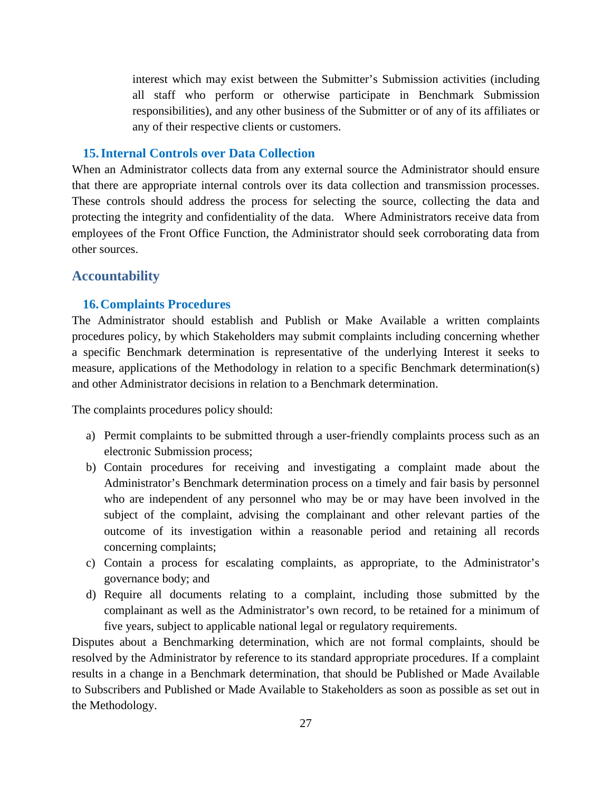interest which may exist between the Submitter's Submission activities (including all staff who perform or otherwise participate in Benchmark Submission responsibilities), and any other business of the Submitter or of any of its affiliates or any of their respective clients or customers.

#### **15.Internal Controls over Data Collection**

When an Administrator collects data from any external source the Administrator should ensure that there are appropriate internal controls over its data collection and transmission processes. These controls should address the process for selecting the source, collecting the data and protecting the integrity and confidentiality of the data. Where Administrators receive data from employees of the Front Office Function, the Administrator should seek corroborating data from other sources.

#### **Accountability**

#### **16.Complaints Procedures**

The Administrator should establish and Publish or Make Available a written complaints procedures policy, by which Stakeholders may submit complaints including concerning whether a specific Benchmark determination is representative of the underlying Interest it seeks to measure, applications of the Methodology in relation to a specific Benchmark determination(s) and other Administrator decisions in relation to a Benchmark determination.

The complaints procedures policy should:

- a) Permit complaints to be submitted through a user-friendly complaints process such as an electronic Submission process;
- b) Contain procedures for receiving and investigating a complaint made about the Administrator's Benchmark determination process on a timely and fair basis by personnel who are independent of any personnel who may be or may have been involved in the subject of the complaint, advising the complainant and other relevant parties of the outcome of its investigation within a reasonable period and retaining all records concerning complaints;
- c) Contain a process for escalating complaints, as appropriate, to the Administrator's governance body; and
- d) Require all documents relating to a complaint, including those submitted by the complainant as well as the Administrator's own record, to be retained for a minimum of five years, subject to applicable national legal or regulatory requirements.

Disputes about a Benchmarking determination, which are not formal complaints, should be resolved by the Administrator by reference to its standard appropriate procedures. If a complaint results in a change in a Benchmark determination, that should be Published or Made Available to Subscribers and Published or Made Available to Stakeholders as soon as possible as set out in the Methodology.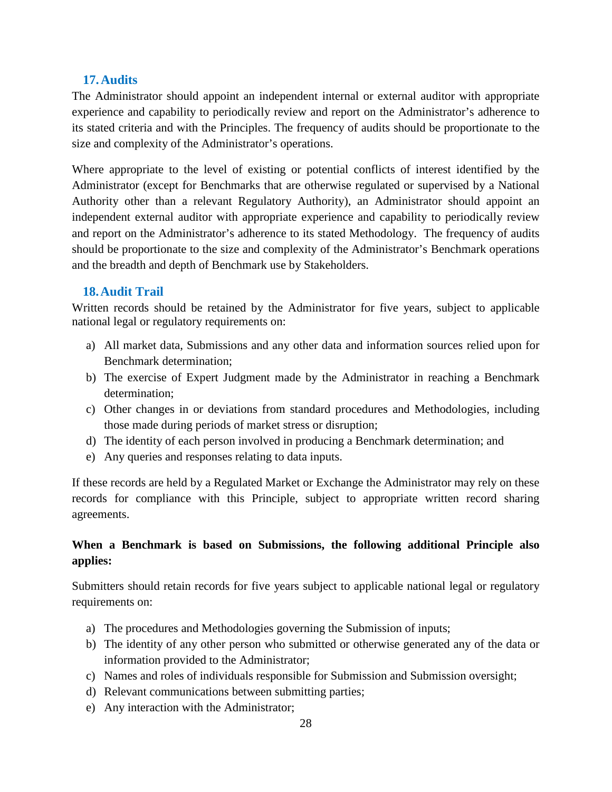#### **17.Audits**

The Administrator should appoint an independent internal or external auditor with appropriate experience and capability to periodically review and report on the Administrator's adherence to its stated criteria and with the Principles. The frequency of audits should be proportionate to the size and complexity of the Administrator's operations.

Where appropriate to the level of existing or potential conflicts of interest identified by the Administrator (except for Benchmarks that are otherwise regulated or supervised by a National Authority other than a relevant Regulatory Authority), an Administrator should appoint an independent external auditor with appropriate experience and capability to periodically review and report on the Administrator's adherence to its stated Methodology. The frequency of audits should be proportionate to the size and complexity of the Administrator's Benchmark operations and the breadth and depth of Benchmark use by Stakeholders.

## **18.Audit Trail**

Written records should be retained by the Administrator for five years, subject to applicable national legal or regulatory requirements on:

- a) All market data, Submissions and any other data and information sources relied upon for Benchmark determination;
- b) The exercise of Expert Judgment made by the Administrator in reaching a Benchmark determination;
- c) Other changes in or deviations from standard procedures and Methodologies, including those made during periods of market stress or disruption;
- d) The identity of each person involved in producing a Benchmark determination; and
- e) Any queries and responses relating to data inputs.

If these records are held by a Regulated Market or Exchange the Administrator may rely on these records for compliance with this Principle, subject to appropriate written record sharing agreements.

## **When a Benchmark is based on Submissions, the following additional Principle also applies:**

Submitters should retain records for five years subject to applicable national legal or regulatory requirements on:

- a) The procedures and Methodologies governing the Submission of inputs;
- b) The identity of any other person who submitted or otherwise generated any of the data or information provided to the Administrator;
- c) Names and roles of individuals responsible for Submission and Submission oversight;
- d) Relevant communications between submitting parties;
- e) Any interaction with the Administrator;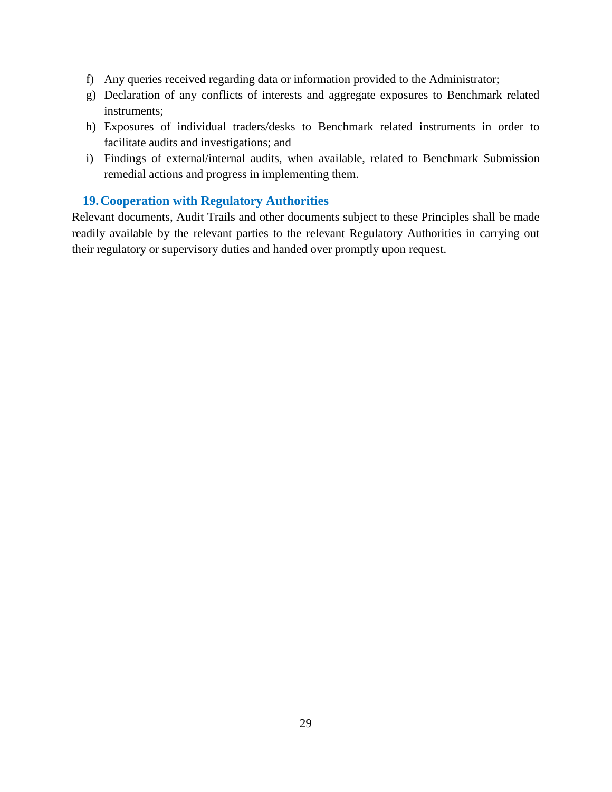- f) Any queries received regarding data or information provided to the Administrator;
- g) Declaration of any conflicts of interests and aggregate exposures to Benchmark related instruments;
- h) Exposures of individual traders/desks to Benchmark related instruments in order to facilitate audits and investigations; and
- i) Findings of external/internal audits, when available, related to Benchmark Submission remedial actions and progress in implementing them.

## **19.Cooperation with Regulatory Authorities**

Relevant documents, Audit Trails and other documents subject to these Principles shall be made readily available by the relevant parties to the relevant Regulatory Authorities in carrying out their regulatory or supervisory duties and handed over promptly upon request.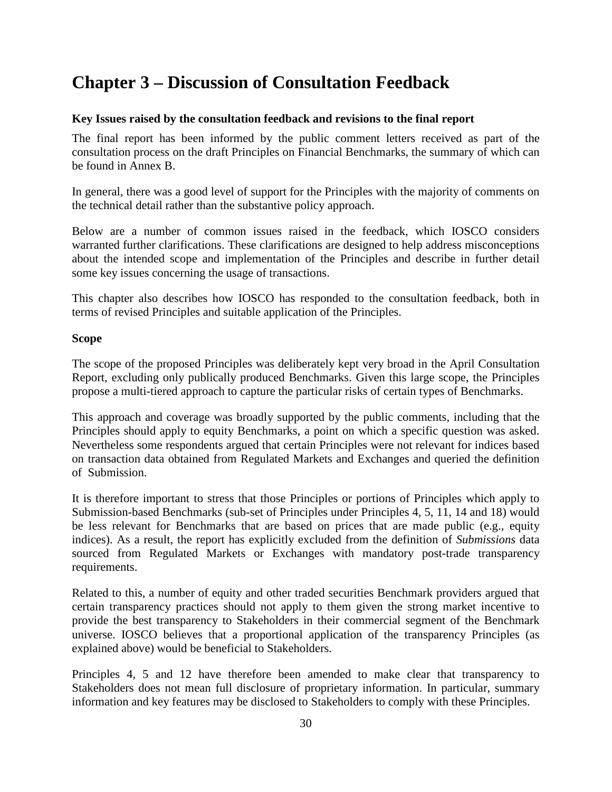## **Chapter 3 – Discussion of Consultation Feedback**

#### **Key Issues raised by the consultation feedback and revisions to the final report**

The final report has been informed by the public comment letters received as part of the consultation process on the draft Principles on Financial Benchmarks, the summary of which can be found in Annex B.

In general, there was a good level of support for the Principles with the majority of comments on the technical detail rather than the substantive policy approach.

Below are a number of common issues raised in the feedback, which IOSCO considers warranted further clarifications. These clarifications are designed to help address misconceptions about the intended scope and implementation of the Principles and describe in further detail some key issues concerning the usage of transactions.

This chapter also describes how IOSCO has responded to the consultation feedback, both in terms of revised Principles and suitable application of the Principles.

#### **Scope**

The scope of the proposed Principles was deliberately kept very broad in the April Consultation Report, excluding only publically produced Benchmarks. Given this large scope, the Principles propose a multi-tiered approach to capture the particular risks of certain types of Benchmarks.

This approach and coverage was broadly supported by the public comments, including that the Principles should apply to equity Benchmarks, a point on which a specific question was asked. Nevertheless some respondents argued that certain Principles were not relevant for indices based on transaction data obtained from Regulated Markets and Exchanges and queried the definition of Submission.

It is therefore important to stress that those Principles or portions of Principles which apply to Submission-based Benchmarks (sub-set of Principles under Principles 4, 5, 11, 14 and 18) would be less relevant for Benchmarks that are based on prices that are made public (e.g., equity indices). As a result, the report has explicitly excluded from the definition of *Submissions* data sourced from Regulated Markets or Exchanges with mandatory post-trade transparency requirements.

Related to this, a number of equity and other traded securities Benchmark providers argued that certain transparency practices should not apply to them given the strong market incentive to provide the best transparency to Stakeholders in their commercial segment of the Benchmark universe. IOSCO believes that a proportional application of the transparency Principles (as explained above) would be beneficial to Stakeholders.

Principles 4, 5 and 12 have therefore been amended to make clear that transparency to Stakeholders does not mean full disclosure of proprietary information. In particular, summary information and key features may be disclosed to Stakeholders to comply with these Principles.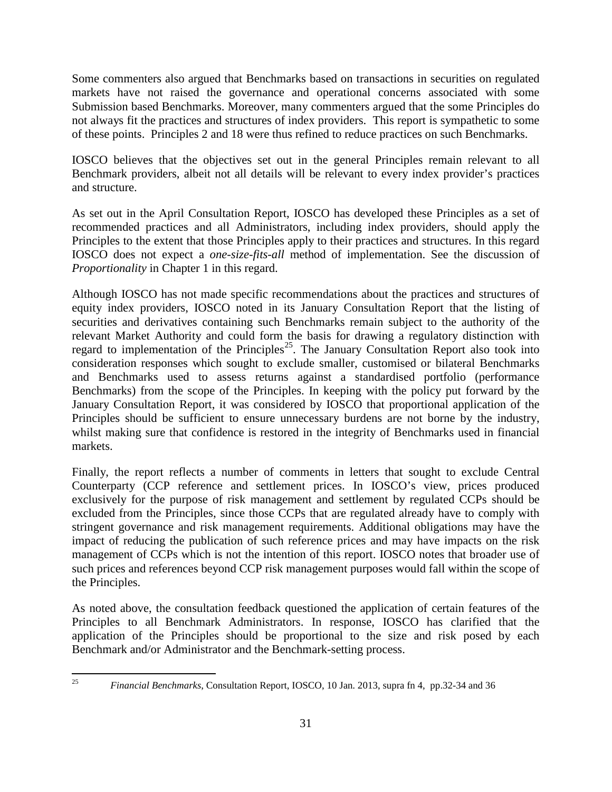Some commenters also argued that Benchmarks based on transactions in securities on regulated markets have not raised the governance and operational concerns associated with some Submission based Benchmarks. Moreover, many commenters argued that the some Principles do not always fit the practices and structures of index providers. This report is sympathetic to some of these points. Principles 2 and 18 were thus refined to reduce practices on such Benchmarks.

IOSCO believes that the objectives set out in the general Principles remain relevant to all Benchmark providers, albeit not all details will be relevant to every index provider's practices and structure.

As set out in the April Consultation Report, IOSCO has developed these Principles as a set of recommended practices and all Administrators, including index providers, should apply the Principles to the extent that those Principles apply to their practices and structures. In this regard IOSCO does not expect a *one-size-fits-all* method of implementation. See the discussion of *Proportionality* in Chapter 1 in this regard.

Although IOSCO has not made specific recommendations about the practices and structures of equity index providers, IOSCO noted in its January Consultation Report that the listing of securities and derivatives containing such Benchmarks remain subject to the authority of the relevant Market Authority and could form the basis for drawing a regulatory distinction with regard to implementation of the Principles<sup>25</sup>. The January Consultation Report also took into consideration responses which sought to exclude smaller, customised or bilateral Benchmarks and Benchmarks used to assess returns against a standardised portfolio (performance Benchmarks) from the scope of the Principles. In keeping with the policy put forward by the January Consultation Report, it was considered by IOSCO that proportional application of the Principles should be sufficient to ensure unnecessary burdens are not borne by the industry, whilst making sure that confidence is restored in the integrity of Benchmarks used in financial markets.

Finally, the report reflects a number of comments in letters that sought to exclude Central Counterparty (CCP reference and settlement prices. In IOSCO's view, prices produced exclusively for the purpose of risk management and settlement by regulated CCPs should be excluded from the Principles, since those CCPs that are regulated already have to comply with stringent governance and risk management requirements. Additional obligations may have the impact of reducing the publication of such reference prices and may have impacts on the risk management of CCPs which is not the intention of this report. IOSCO notes that broader use of such prices and references beyond CCP risk management purposes would fall within the scope of the Principles.

As noted above, the consultation feedback questioned the application of certain features of the Principles to all Benchmark Administrators. In response, IOSCO has clarified that the application of the Principles should be proportional to the size and risk posed by each Benchmark and/or Administrator and the Benchmark-setting process.

 <sup>25</sup> *Financial Benchmarks*, Consultation Report, IOSCO, 10 Jan. 2013, supra fn 4, pp.32-34 and 36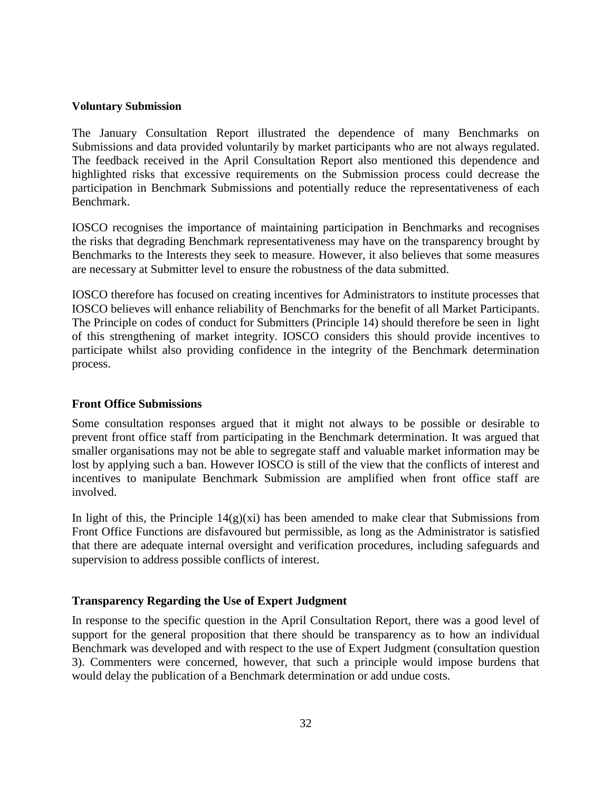#### **Voluntary Submission**

The January Consultation Report illustrated the dependence of many Benchmarks on Submissions and data provided voluntarily by market participants who are not always regulated. The feedback received in the April Consultation Report also mentioned this dependence and highlighted risks that excessive requirements on the Submission process could decrease the participation in Benchmark Submissions and potentially reduce the representativeness of each Benchmark.

IOSCO recognises the importance of maintaining participation in Benchmarks and recognises the risks that degrading Benchmark representativeness may have on the transparency brought by Benchmarks to the Interests they seek to measure. However, it also believes that some measures are necessary at Submitter level to ensure the robustness of the data submitted.

IOSCO therefore has focused on creating incentives for Administrators to institute processes that IOSCO believes will enhance reliability of Benchmarks for the benefit of all Market Participants. The Principle on codes of conduct for Submitters (Principle 14) should therefore be seen in light of this strengthening of market integrity. IOSCO considers this should provide incentives to participate whilst also providing confidence in the integrity of the Benchmark determination process.

#### **Front Office Submissions**

Some consultation responses argued that it might not always to be possible or desirable to prevent front office staff from participating in the Benchmark determination. It was argued that smaller organisations may not be able to segregate staff and valuable market information may be lost by applying such a ban. However IOSCO is still of the view that the conflicts of interest and incentives to manipulate Benchmark Submission are amplified when front office staff are involved.

In light of this, the Principle  $14(g)(xi)$  has been amended to make clear that Submissions from Front Office Functions are disfavoured but permissible, as long as the Administrator is satisfied that there are adequate internal oversight and verification procedures, including safeguards and supervision to address possible conflicts of interest.

#### **Transparency Regarding the Use of Expert Judgment**

In response to the specific question in the April Consultation Report, there was a good level of support for the general proposition that there should be transparency as to how an individual Benchmark was developed and with respect to the use of Expert Judgment (consultation question 3). Commenters were concerned, however, that such a principle would impose burdens that would delay the publication of a Benchmark determination or add undue costs.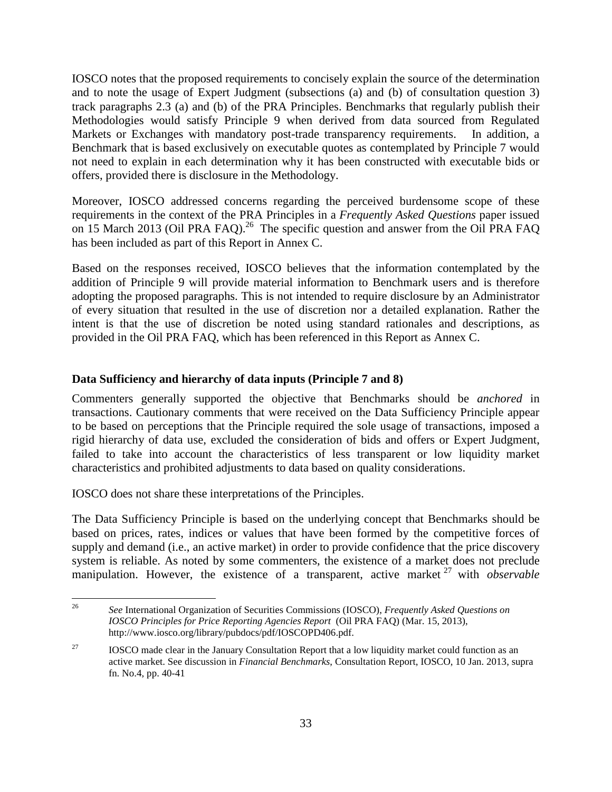IOSCO notes that the proposed requirements to concisely explain the source of the determination and to note the usage of Expert Judgment (subsections (a) and (b) of consultation question 3) track paragraphs 2.3 (a) and (b) of the PRA Principles. Benchmarks that regularly publish their Methodologies would satisfy Principle 9 when derived from data sourced from Regulated Markets or Exchanges with mandatory post-trade transparency requirements. In addition, a Benchmark that is based exclusively on executable quotes as contemplated by Principle 7 would not need to explain in each determination why it has been constructed with executable bids or offers, provided there is disclosure in the Methodology.

Moreover, IOSCO addressed concerns regarding the perceived burdensome scope of these requirements in the context of the PRA Principles in a *Frequently Asked Questions* paper issued on 15 March 2013 (Oil PRA FAQ).<sup>26</sup> The specific question and answer from the Oil PRA FAQ has been included as part of this Report in Annex C.

Based on the responses received, IOSCO believes that the information contemplated by the addition of Principle 9 will provide material information to Benchmark users and is therefore adopting the proposed paragraphs. This is not intended to require disclosure by an Administrator of every situation that resulted in the use of discretion nor a detailed explanation. Rather the intent is that the use of discretion be noted using standard rationales and descriptions, as provided in the Oil PRA FAQ, which has been referenced in this Report as Annex C.

## **Data Sufficiency and hierarchy of data inputs (Principle 7 and 8)**

Commenters generally supported the objective that Benchmarks should be *anchored* in transactions. Cautionary comments that were received on the Data Sufficiency Principle appear to be based on perceptions that the Principle required the sole usage of transactions, imposed a rigid hierarchy of data use, excluded the consideration of bids and offers or Expert Judgment, failed to take into account the characteristics of less transparent or low liquidity market characteristics and prohibited adjustments to data based on quality considerations.

IOSCO does not share these interpretations of the Principles.

The Data Sufficiency Principle is based on the underlying concept that Benchmarks should be based on prices, rates, indices or values that have been formed by the competitive forces of supply and demand (i.e., an active market) in order to provide confidence that the price discovery system is reliable. As noted by some commenters, the existence of a market does not preclude manipulation. However, the existence of a transparent, active market <sup>27</sup> with *observable*

 <sup>26</sup> *See* International Organization of Securities Commissions (IOSCO), *Frequently Asked Questions on IOSCO Principles for Price Reporting Agencies Report* (Oil PRA FAQ) (Mar. 15, 2013), http://www.iosco.org/library/pubdocs/pdf/IOSCOPD406.pdf.

<sup>&</sup>lt;sup>27</sup> IOSCO made clear in the January Consultation Report that a low liquidity market could function as an active market. See discussion in *Financial Benchmarks*, Consultation Report, IOSCO, 10 Jan. 2013, supra fn. No.4, pp. 40-41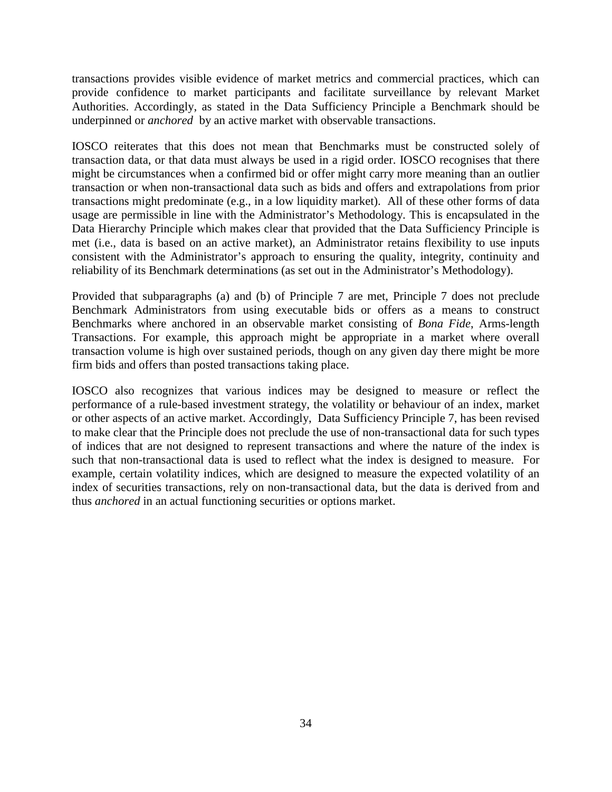transactions provides visible evidence of market metrics and commercial practices, which can provide confidence to market participants and facilitate surveillance by relevant Market Authorities. Accordingly, as stated in the Data Sufficiency Principle a Benchmark should be underpinned or *anchored* by an active market with observable transactions.

IOSCO reiterates that this does not mean that Benchmarks must be constructed solely of transaction data, or that data must always be used in a rigid order. IOSCO recognises that there might be circumstances when a confirmed bid or offer might carry more meaning than an outlier transaction or when non-transactional data such as bids and offers and extrapolations from prior transactions might predominate (e.g., in a low liquidity market). All of these other forms of data usage are permissible in line with the Administrator's Methodology. This is encapsulated in the Data Hierarchy Principle which makes clear that provided that the Data Sufficiency Principle is met (i.e., data is based on an active market), an Administrator retains flexibility to use inputs consistent with the Administrator's approach to ensuring the quality, integrity, continuity and reliability of its Benchmark determinations (as set out in the Administrator's Methodology).

Provided that subparagraphs (a) and (b) of Principle 7 are met, Principle 7 does not preclude Benchmark Administrators from using executable bids or offers as a means to construct Benchmarks where anchored in an observable market consisting of *Bona Fide*, Arms-length Transactions. For example, this approach might be appropriate in a market where overall transaction volume is high over sustained periods, though on any given day there might be more firm bids and offers than posted transactions taking place.

IOSCO also recognizes that various indices may be designed to measure or reflect the performance of a rule-based investment strategy, the volatility or behaviour of an index, market or other aspects of an active market. Accordingly, Data Sufficiency Principle 7, has been revised to make clear that the Principle does not preclude the use of non-transactional data for such types of indices that are not designed to represent transactions and where the nature of the index is such that non-transactional data is used to reflect what the index is designed to measure. For example, certain volatility indices, which are designed to measure the expected volatility of an index of securities transactions, rely on non-transactional data, but the data is derived from and thus *anchored* in an actual functioning securities or options market.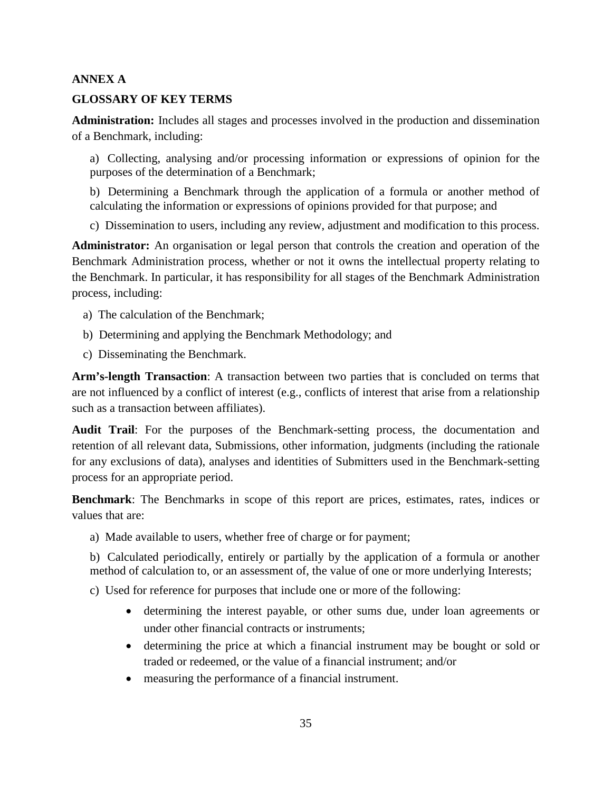#### **ANNEX A**

#### **GLOSSARY OF KEY TERMS**

**Administration:** Includes all stages and processes involved in the production and dissemination of a Benchmark, including:

a) Collecting, analysing and/or processing information or expressions of opinion for the purposes of the determination of a Benchmark;

b) Determining a Benchmark through the application of a formula or another method of calculating the information or expressions of opinions provided for that purpose; and

c) Dissemination to users, including any review, adjustment and modification to this process.

**Administrator:** An organisation or legal person that controls the creation and operation of the Benchmark Administration process, whether or not it owns the intellectual property relating to the Benchmark. In particular, it has responsibility for all stages of the Benchmark Administration process, including:

- a) The calculation of the Benchmark;
- b) Determining and applying the Benchmark Methodology; and
- c) Disseminating the Benchmark.

**Arm's-length Transaction**: A transaction between two parties that is concluded on terms that are not influenced by a conflict of interest (e.g., conflicts of interest that arise from a relationship such as a transaction between affiliates).

**Audit Trail**: For the purposes of the Benchmark-setting process, the documentation and retention of all relevant data, Submissions, other information, judgments (including the rationale for any exclusions of data), analyses and identities of Submitters used in the Benchmark-setting process for an appropriate period.

**Benchmark**: The Benchmarks in scope of this report are prices, estimates, rates, indices or values that are:

a) Made available to users, whether free of charge or for payment;

b) Calculated periodically, entirely or partially by the application of a formula or another method of calculation to, or an assessment of, the value of one or more underlying Interests;

c) Used for reference for purposes that include one or more of the following:

- determining the interest payable, or other sums due, under loan agreements or under other financial contracts or instruments;
- determining the price at which a financial instrument may be bought or sold or traded or redeemed, or the value of a financial instrument; and/or
- measuring the performance of a financial instrument.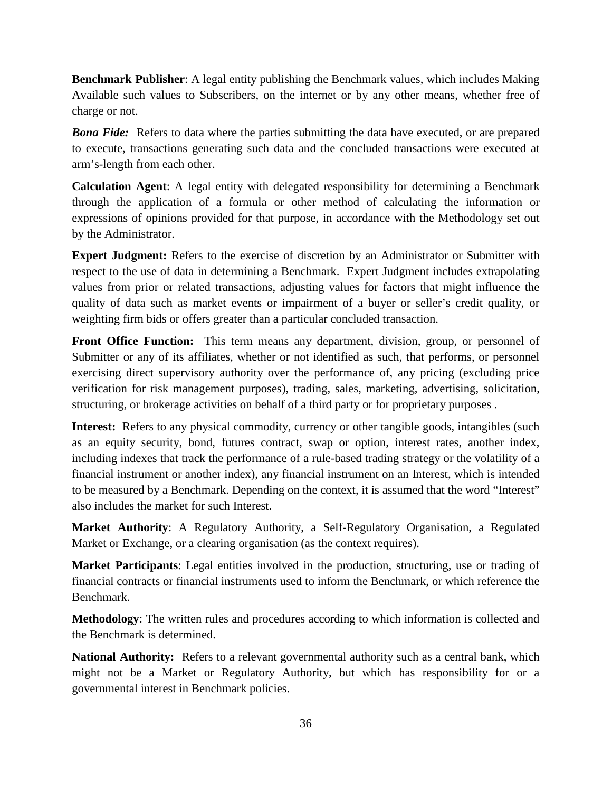**Benchmark Publisher**: A legal entity publishing the Benchmark values, which includes Making Available such values to Subscribers, on the internet or by any other means, whether free of charge or not.

*Bona* Fide: Refers to data where the parties submitting the data have executed, or are prepared to execute, transactions generating such data and the concluded transactions were executed at arm's-length from each other.

**Calculation Agent**: A legal entity with delegated responsibility for determining a Benchmark through the application of a formula or other method of calculating the information or expressions of opinions provided for that purpose, in accordance with the Methodology set out by the Administrator.

**Expert Judgment:** Refers to the exercise of discretion by an Administrator or Submitter with respect to the use of data in determining a Benchmark. Expert Judgment includes extrapolating values from prior or related transactions, adjusting values for factors that might influence the quality of data such as market events or impairment of a buyer or seller's credit quality, or weighting firm bids or offers greater than a particular concluded transaction.

Front Office Function: This term means any department, division, group, or personnel of Submitter or any of its affiliates, whether or not identified as such, that performs, or personnel exercising direct supervisory authority over the performance of, any pricing (excluding price verification for risk management purposes), trading, sales, marketing, advertising, solicitation, structuring, or brokerage activities on behalf of a third party or for proprietary purposes .

**Interest:** Refers to any physical commodity, currency or other tangible goods, intangibles (such as an equity security, bond, futures contract, swap or option, interest rates, another index, including indexes that track the performance of a rule-based trading strategy or the volatility of a financial instrument or another index), any financial instrument on an Interest, which is intended to be measured by a Benchmark. Depending on the context, it is assumed that the word "Interest" also includes the market for such Interest.

**Market Authority**: A Regulatory Authority, a Self-Regulatory Organisation, a Regulated Market or Exchange, or a clearing organisation (as the context requires).

**Market Participants**: Legal entities involved in the production, structuring, use or trading of financial contracts or financial instruments used to inform the Benchmark, or which reference the Benchmark.

**Methodology**: The written rules and procedures according to which information is collected and the Benchmark is determined.

**National Authority:** Refers to a relevant governmental authority such as a central bank, which might not be a Market or Regulatory Authority, but which has responsibility for or a governmental interest in Benchmark policies.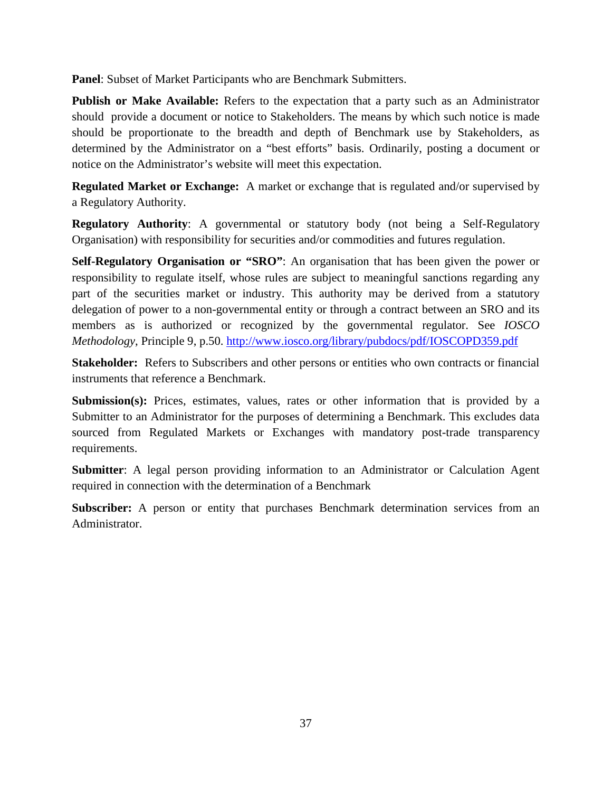**Panel**: Subset of Market Participants who are Benchmark Submitters.

**Publish or Make Available:** Refers to the expectation that a party such as an Administrator should provide a document or notice to Stakeholders. The means by which such notice is made should be proportionate to the breadth and depth of Benchmark use by Stakeholders, as determined by the Administrator on a "best efforts" basis. Ordinarily, posting a document or notice on the Administrator's website will meet this expectation.

**Regulated Market or Exchange:** A market or exchange that is regulated and/or supervised by a Regulatory Authority.

**Regulatory Authority**: A governmental or statutory body (not being a Self-Regulatory Organisation) with responsibility for securities and/or commodities and futures regulation.

**Self-Regulatory Organisation or "SRO"**: An organisation that has been given the power or responsibility to regulate itself, whose rules are subject to meaningful sanctions regarding any part of the securities market or industry. This authority may be derived from a statutory delegation of power to a non-governmental entity or through a contract between an SRO and its members as is authorized or recognized by the governmental regulator. See *IOSCO Methodology*, Principle 9, p.50. http://www.iosco.org/library/pubdocs/pdf/IOSCOPD359.pdf

**Stakeholder:** Refers to Subscribers and other persons or entities who own contracts or financial instruments that reference a Benchmark.

Submission(s): Prices, estimates, values, rates or other information that is provided by a Submitter to an Administrator for the purposes of determining a Benchmark. This excludes data sourced from Regulated Markets or Exchanges with mandatory post-trade transparency requirements.

**Submitter**: A legal person providing information to an Administrator or Calculation Agent required in connection with the determination of a Benchmark

**Subscriber:** A person or entity that purchases Benchmark determination services from an Administrator.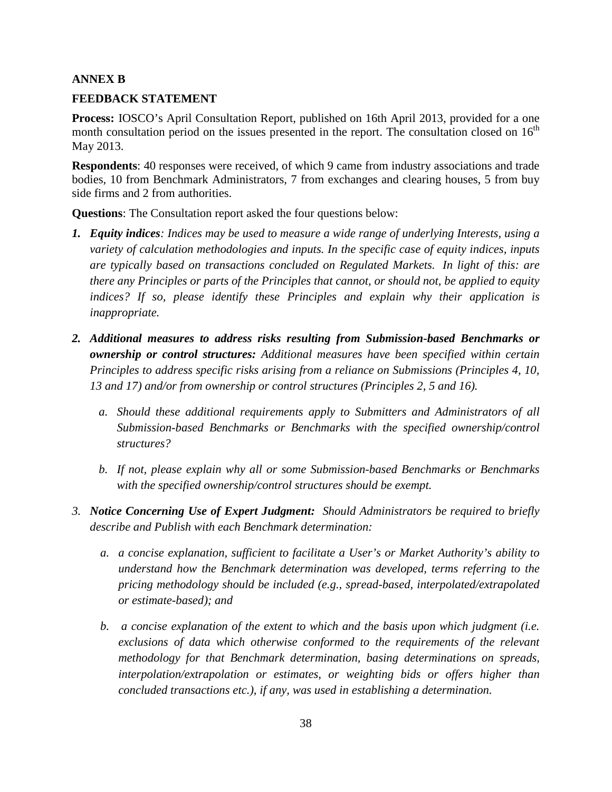#### **ANNEX B**

#### **FEEDBACK STATEMENT**

**Process:** IOSCO's April Consultation Report, published on 16th April 2013, provided for a one month consultation period on the issues presented in the report. The consultation closed on  $16<sup>th</sup>$ May 2013.

**Respondents**: 40 responses were received, of which 9 came from industry associations and trade bodies, 10 from Benchmark Administrators, 7 from exchanges and clearing houses, 5 from buy side firms and 2 from authorities.

**Questions**: The Consultation report asked the four questions below:

- *1. Equity indices: Indices may be used to measure a wide range of underlying Interests, using a variety of calculation methodologies and inputs. In the specific case of equity indices, inputs are typically based on transactions concluded on Regulated Markets. In light of this: are there any Principles or parts of the Principles that cannot, or should not, be applied to equity*  indices? If so, please identify these Principles and explain why their application is *inappropriate.*
- *2. Additional measures to address risks resulting from Submission-based Benchmarks or ownership or control structures: Additional measures have been specified within certain Principles to address specific risks arising from a reliance on Submissions (Principles 4, 10, 13 and 17) and/or from ownership or control structures (Principles 2, 5 and 16).* 
	- *a. Should these additional requirements apply to Submitters and Administrators of all Submission-based Benchmarks or Benchmarks with the specified ownership/control structures?*
	- *b. If not, please explain why all or some Submission-based Benchmarks or Benchmarks*  with the specified ownership/control structures should be exempt.
- *3. Notice Concerning Use of Expert Judgment: Should Administrators be required to briefly describe and Publish with each Benchmark determination:*
	- *a. a concise explanation, sufficient to facilitate a User's or Market Authority's ability to understand how the Benchmark determination was developed, terms referring to the pricing methodology should be included (e.g., spread-based, interpolated/extrapolated or estimate-based); and*
	- *b. a concise explanation of the extent to which and the basis upon which judgment (i.e.*  exclusions of data which otherwise conformed to the requirements of the relevant *methodology for that Benchmark determination, basing determinations on spreads, interpolation/extrapolation or estimates, or weighting bids or offers higher than concluded transactions etc.), if any, was used in establishing a determination.*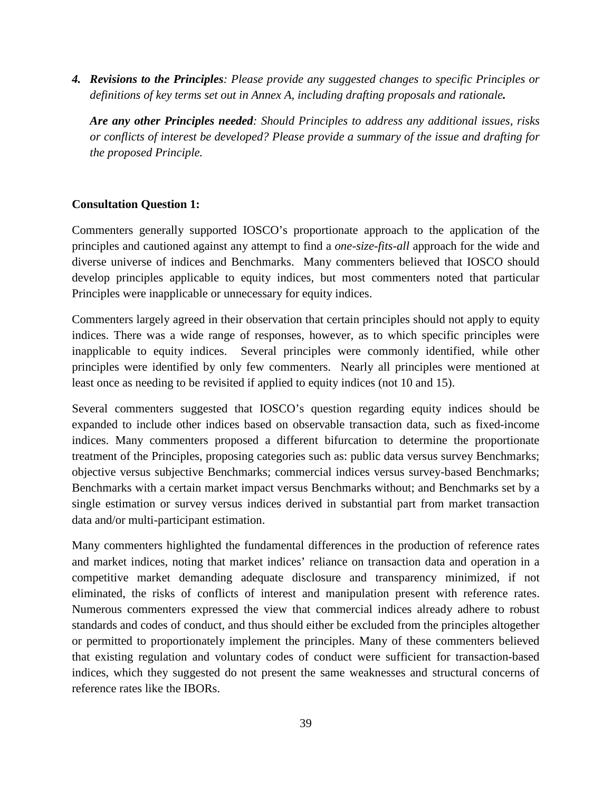*4. Revisions to the Principles: Please provide any suggested changes to specific Principles or definitions of key terms set out in Annex A, including drafting proposals and rationale.* 

*Are any other Principles needed: Should Principles to address any additional issues, risks or conflicts of interest be developed? Please provide a summary of the issue and drafting for the proposed Principle.* 

## **Consultation Question 1:**

Commenters generally supported IOSCO's proportionate approach to the application of the principles and cautioned against any attempt to find a *one-size-fits-all* approach for the wide and diverse universe of indices and Benchmarks. Many commenters believed that IOSCO should develop principles applicable to equity indices, but most commenters noted that particular Principles were inapplicable or unnecessary for equity indices.

Commenters largely agreed in their observation that certain principles should not apply to equity indices. There was a wide range of responses, however, as to which specific principles were inapplicable to equity indices. Several principles were commonly identified, while other principles were identified by only few commenters. Nearly all principles were mentioned at least once as needing to be revisited if applied to equity indices (not 10 and 15).

Several commenters suggested that IOSCO's question regarding equity indices should be expanded to include other indices based on observable transaction data, such as fixed-income indices. Many commenters proposed a different bifurcation to determine the proportionate treatment of the Principles, proposing categories such as: public data versus survey Benchmarks; objective versus subjective Benchmarks; commercial indices versus survey-based Benchmarks; Benchmarks with a certain market impact versus Benchmarks without; and Benchmarks set by a single estimation or survey versus indices derived in substantial part from market transaction data and/or multi-participant estimation.

Many commenters highlighted the fundamental differences in the production of reference rates and market indices, noting that market indices' reliance on transaction data and operation in a competitive market demanding adequate disclosure and transparency minimized, if not eliminated, the risks of conflicts of interest and manipulation present with reference rates. Numerous commenters expressed the view that commercial indices already adhere to robust standards and codes of conduct, and thus should either be excluded from the principles altogether or permitted to proportionately implement the principles. Many of these commenters believed that existing regulation and voluntary codes of conduct were sufficient for transaction-based indices, which they suggested do not present the same weaknesses and structural concerns of reference rates like the IBORs.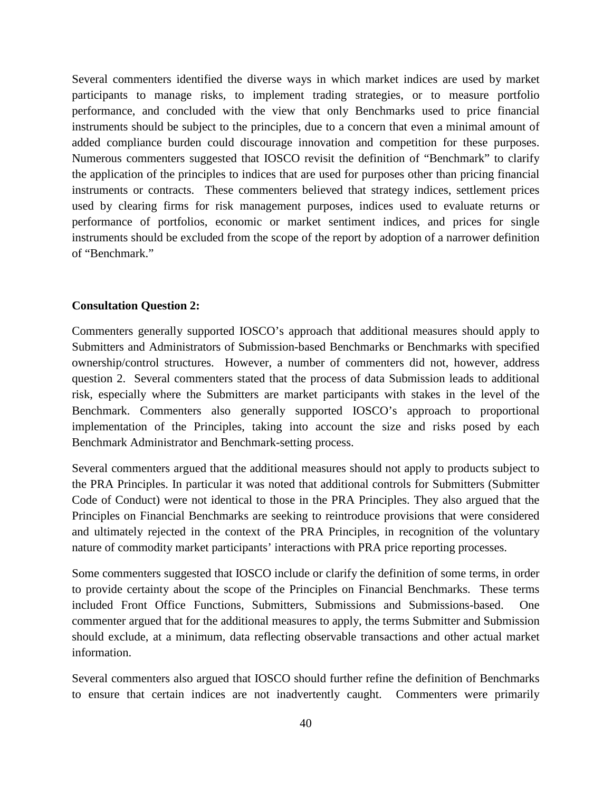Several commenters identified the diverse ways in which market indices are used by market participants to manage risks, to implement trading strategies, or to measure portfolio performance, and concluded with the view that only Benchmarks used to price financial instruments should be subject to the principles, due to a concern that even a minimal amount of added compliance burden could discourage innovation and competition for these purposes. Numerous commenters suggested that IOSCO revisit the definition of "Benchmark" to clarify the application of the principles to indices that are used for purposes other than pricing financial instruments or contracts. These commenters believed that strategy indices, settlement prices used by clearing firms for risk management purposes, indices used to evaluate returns or performance of portfolios, economic or market sentiment indices, and prices for single instruments should be excluded from the scope of the report by adoption of a narrower definition of "Benchmark."

#### **Consultation Question 2:**

Commenters generally supported IOSCO's approach that additional measures should apply to Submitters and Administrators of Submission-based Benchmarks or Benchmarks with specified ownership/control structures. However, a number of commenters did not, however, address question 2. Several commenters stated that the process of data Submission leads to additional risk, especially where the Submitters are market participants with stakes in the level of the Benchmark. Commenters also generally supported IOSCO's approach to proportional implementation of the Principles, taking into account the size and risks posed by each Benchmark Administrator and Benchmark-setting process.

Several commenters argued that the additional measures should not apply to products subject to the PRA Principles. In particular it was noted that additional controls for Submitters (Submitter Code of Conduct) were not identical to those in the PRA Principles. They also argued that the Principles on Financial Benchmarks are seeking to reintroduce provisions that were considered and ultimately rejected in the context of the PRA Principles, in recognition of the voluntary nature of commodity market participants' interactions with PRA price reporting processes.

Some commenters suggested that IOSCO include or clarify the definition of some terms, in order to provide certainty about the scope of the Principles on Financial Benchmarks. These terms included Front Office Functions, Submitters, Submissions and Submissions-based. One commenter argued that for the additional measures to apply, the terms Submitter and Submission should exclude, at a minimum, data reflecting observable transactions and other actual market information.

Several commenters also argued that IOSCO should further refine the definition of Benchmarks to ensure that certain indices are not inadvertently caught. Commenters were primarily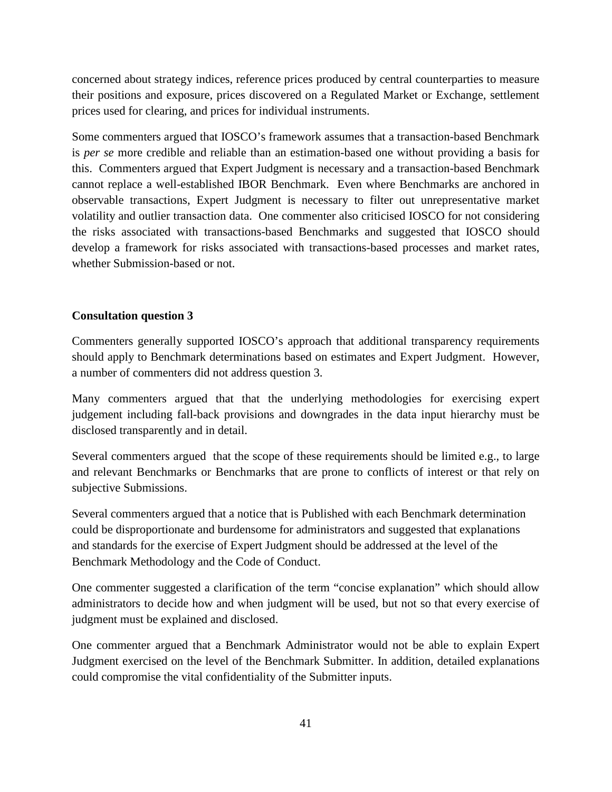concerned about strategy indices, reference prices produced by central counterparties to measure their positions and exposure, prices discovered on a Regulated Market or Exchange, settlement prices used for clearing, and prices for individual instruments.

Some commenters argued that IOSCO's framework assumes that a transaction-based Benchmark is *per se* more credible and reliable than an estimation-based one without providing a basis for this. Commenters argued that Expert Judgment is necessary and a transaction-based Benchmark cannot replace a well-established IBOR Benchmark. Even where Benchmarks are anchored in observable transactions, Expert Judgment is necessary to filter out unrepresentative market volatility and outlier transaction data. One commenter also criticised IOSCO for not considering the risks associated with transactions-based Benchmarks and suggested that IOSCO should develop a framework for risks associated with transactions-based processes and market rates, whether Submission-based or not.

#### **Consultation question 3**

Commenters generally supported IOSCO's approach that additional transparency requirements should apply to Benchmark determinations based on estimates and Expert Judgment. However, a number of commenters did not address question 3.

Many commenters argued that that the underlying methodologies for exercising expert judgement including fall-back provisions and downgrades in the data input hierarchy must be disclosed transparently and in detail.

Several commenters argued that the scope of these requirements should be limited e.g., to large and relevant Benchmarks or Benchmarks that are prone to conflicts of interest or that rely on subjective Submissions.

Several commenters argued that a notice that is Published with each Benchmark determination could be disproportionate and burdensome for administrators and suggested that explanations and standards for the exercise of Expert Judgment should be addressed at the level of the Benchmark Methodology and the Code of Conduct.

One commenter suggested a clarification of the term "concise explanation" which should allow administrators to decide how and when judgment will be used, but not so that every exercise of judgment must be explained and disclosed.

One commenter argued that a Benchmark Administrator would not be able to explain Expert Judgment exercised on the level of the Benchmark Submitter. In addition, detailed explanations could compromise the vital confidentiality of the Submitter inputs.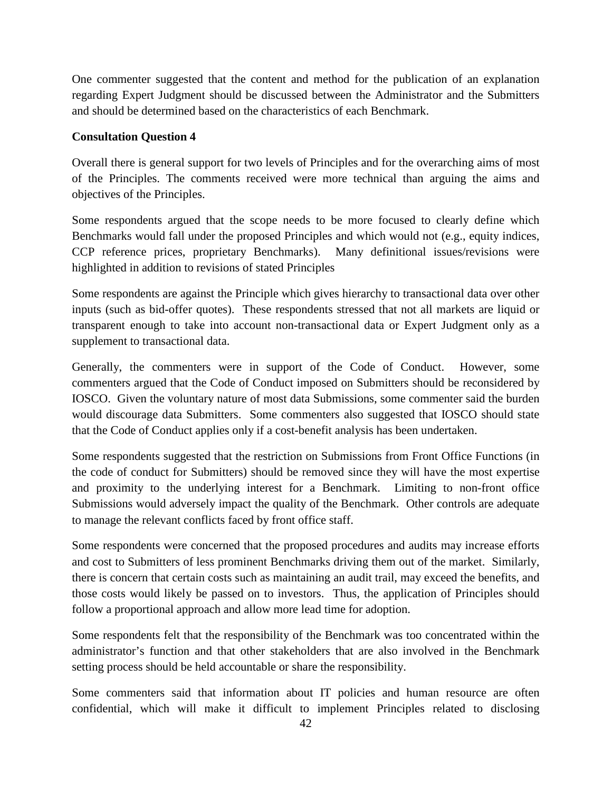One commenter suggested that the content and method for the publication of an explanation regarding Expert Judgment should be discussed between the Administrator and the Submitters and should be determined based on the characteristics of each Benchmark.

## **Consultation Question 4**

Overall there is general support for two levels of Principles and for the overarching aims of most of the Principles. The comments received were more technical than arguing the aims and objectives of the Principles.

Some respondents argued that the scope needs to be more focused to clearly define which Benchmarks would fall under the proposed Principles and which would not (e.g., equity indices, CCP reference prices, proprietary Benchmarks). Many definitional issues/revisions were highlighted in addition to revisions of stated Principles

Some respondents are against the Principle which gives hierarchy to transactional data over other inputs (such as bid-offer quotes). These respondents stressed that not all markets are liquid or transparent enough to take into account non-transactional data or Expert Judgment only as a supplement to transactional data.

Generally, the commenters were in support of the Code of Conduct. However, some commenters argued that the Code of Conduct imposed on Submitters should be reconsidered by IOSCO. Given the voluntary nature of most data Submissions, some commenter said the burden would discourage data Submitters. Some commenters also suggested that IOSCO should state that the Code of Conduct applies only if a cost-benefit analysis has been undertaken.

Some respondents suggested that the restriction on Submissions from Front Office Functions (in the code of conduct for Submitters) should be removed since they will have the most expertise and proximity to the underlying interest for a Benchmark. Limiting to non-front office Submissions would adversely impact the quality of the Benchmark. Other controls are adequate to manage the relevant conflicts faced by front office staff.

Some respondents were concerned that the proposed procedures and audits may increase efforts and cost to Submitters of less prominent Benchmarks driving them out of the market. Similarly, there is concern that certain costs such as maintaining an audit trail, may exceed the benefits, and those costs would likely be passed on to investors. Thus, the application of Principles should follow a proportional approach and allow more lead time for adoption.

Some respondents felt that the responsibility of the Benchmark was too concentrated within the administrator's function and that other stakeholders that are also involved in the Benchmark setting process should be held accountable or share the responsibility.

Some commenters said that information about IT policies and human resource are often confidential, which will make it difficult to implement Principles related to disclosing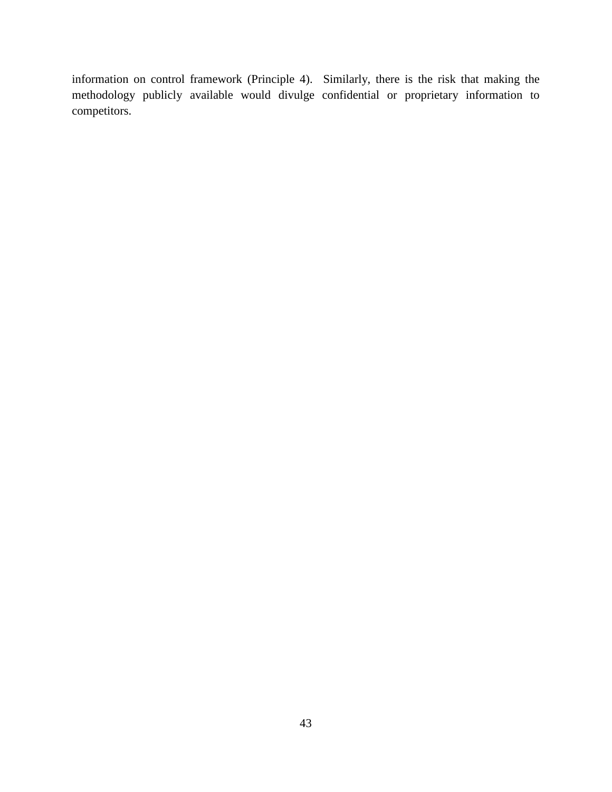information on control framework (Principle 4). Similarly, there is the risk that making the methodology publicly available would divulge confidential or proprietary information to competitors.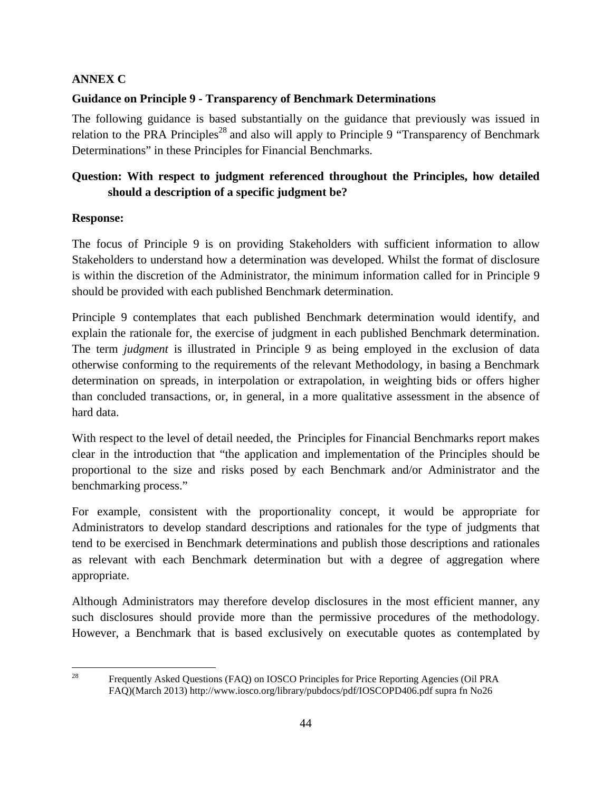## **ANNEX C**

## **Guidance on Principle 9 - Transparency of Benchmark Determinations**

The following guidance is based substantially on the guidance that previously was issued in relation to the PRA Principles<sup>28</sup> and also will apply to Principle 9 "Transparency of Benchmark Determinations" in these Principles for Financial Benchmarks.

## **Question: With respect to judgment referenced throughout the Principles, how detailed should a description of a specific judgment be?**

#### **Response:**

The focus of Principle 9 is on providing Stakeholders with sufficient information to allow Stakeholders to understand how a determination was developed. Whilst the format of disclosure is within the discretion of the Administrator, the minimum information called for in Principle 9 should be provided with each published Benchmark determination.

Principle 9 contemplates that each published Benchmark determination would identify, and explain the rationale for, the exercise of judgment in each published Benchmark determination. The term *judgment* is illustrated in Principle 9 as being employed in the exclusion of data otherwise conforming to the requirements of the relevant Methodology, in basing a Benchmark determination on spreads, in interpolation or extrapolation, in weighting bids or offers higher than concluded transactions, or, in general, in a more qualitative assessment in the absence of hard data.

With respect to the level of detail needed, the Principles for Financial Benchmarks report makes clear in the introduction that "the application and implementation of the Principles should be proportional to the size and risks posed by each Benchmark and/or Administrator and the benchmarking process."

For example, consistent with the proportionality concept, it would be appropriate for Administrators to develop standard descriptions and rationales for the type of judgments that tend to be exercised in Benchmark determinations and publish those descriptions and rationales as relevant with each Benchmark determination but with a degree of aggregation where appropriate.

Although Administrators may therefore develop disclosures in the most efficient manner, any such disclosures should provide more than the permissive procedures of the methodology. However, a Benchmark that is based exclusively on executable quotes as contemplated by

<sup>&</sup>lt;sup>28</sup> Frequently Asked Questions (FAQ) on IOSCO Principles for Price Reporting Agencies (Oil PRA FAQ)(March 2013) http://www.iosco.org/library/pubdocs/pdf/IOSCOPD406.pdf supra fn No26